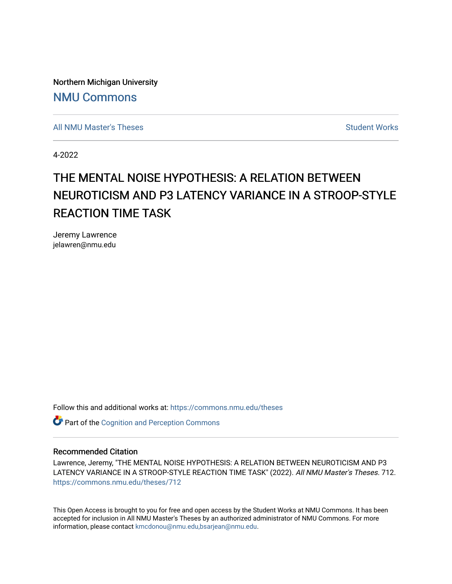Northern Michigan University [NMU Commons](https://commons.nmu.edu/) 

[All NMU Master's Theses](https://commons.nmu.edu/theses) [Student Works](https://commons.nmu.edu/student_works) Student Works Student Works

4-2022

# THE MENTAL NOISE HYPOTHESIS: A RELATION BETWEEN NEUROTICISM AND P3 LATENCY VARIANCE IN A STROOP-STYLE REACTION TIME TASK

Jeremy Lawrence jelawren@nmu.edu

Follow this and additional works at: [https://commons.nmu.edu/theses](https://commons.nmu.edu/theses?utm_source=commons.nmu.edu%2Ftheses%2F712&utm_medium=PDF&utm_campaign=PDFCoverPages)

**Part of the Cognition and Perception Commons** 

### Recommended Citation

Lawrence, Jeremy, "THE MENTAL NOISE HYPOTHESIS: A RELATION BETWEEN NEUROTICISM AND P3 LATENCY VARIANCE IN A STROOP-STYLE REACTION TIME TASK" (2022). All NMU Master's Theses. 712. [https://commons.nmu.edu/theses/712](https://commons.nmu.edu/theses/712?utm_source=commons.nmu.edu%2Ftheses%2F712&utm_medium=PDF&utm_campaign=PDFCoverPages) 

This Open Access is brought to you for free and open access by the Student Works at NMU Commons. It has been accepted for inclusion in All NMU Master's Theses by an authorized administrator of NMU Commons. For more information, please contact [kmcdonou@nmu.edu,bsarjean@nmu.edu](mailto:kmcdonou@nmu.edu,bsarjean@nmu.edu).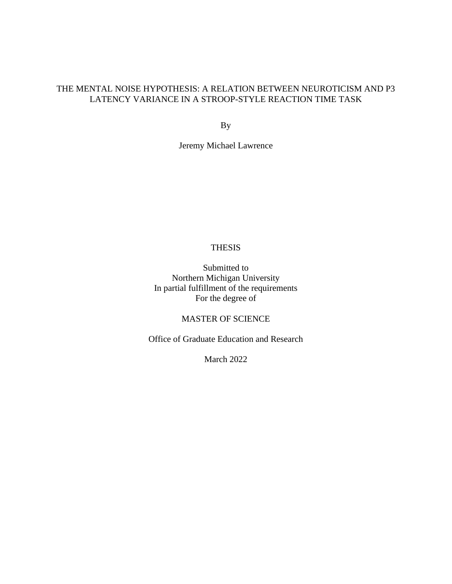# THE MENTAL NOISE HYPOTHESIS: A RELATION BETWEEN NEUROTICISM AND P3 LATENCY VARIANCE IN A STROOP-STYLE REACTION TIME TASK

By

Jeremy Michael Lawrence

# THESIS

Submitted to Northern Michigan University In partial fulfillment of the requirements For the degree of

# MASTER OF SCIENCE

Office of Graduate Education and Research

March 2022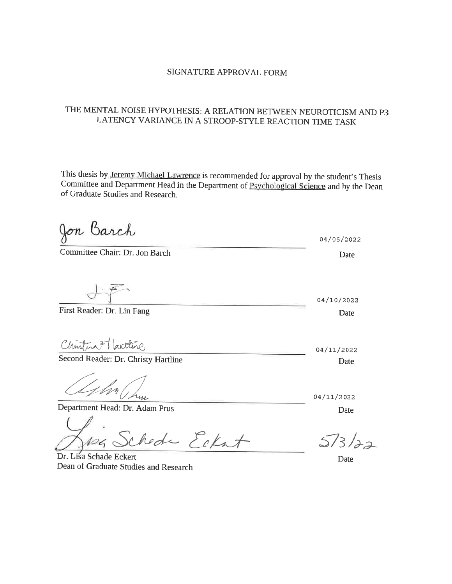# SIGNATURE APPROVAL FORM

# THE MENTAL NOISE HYPOTHESIS: A RELATION BETWEEN NEUROTICISM AND P3 LATENCY VARIANCE IN A STROOP-STYLE REACTION TIME TASK

This thesis by Jeremy Michael Lawrence is recommended for approval by the student's Thesis Committee and Department Head in the Department of Psychological Science and by the Dean of Graduate Studies and Research.

Jon Barch 04/05/2022 Committee Chair: Dr. Jon Barch Date 04/10/2022 First Reader: Dr. Lin Fang Date Christina 77 Larttine 04/11/2022 Second Reader: Dr. Christy Hartline Date 04/11/2022 Department Head: Dr. Adam Prus Date chede Eckat  $5/3/22$ Dr. Lisa Schade Eckert Date Dean of Graduate Studies and Research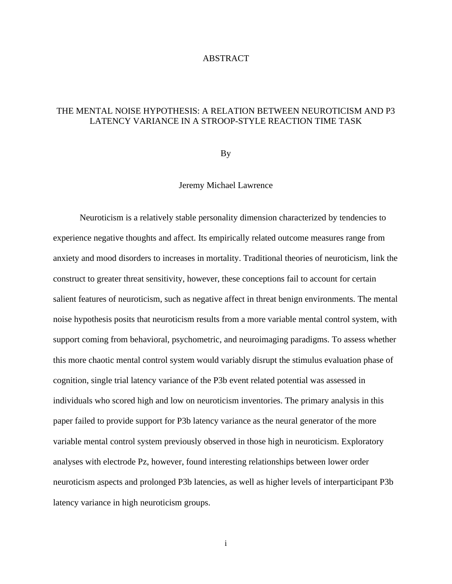## ABSTRACT

# THE MENTAL NOISE HYPOTHESIS: A RELATION BETWEEN NEUROTICISM AND P3 LATENCY VARIANCE IN A STROOP-STYLE REACTION TIME TASK

By

# Jeremy Michael Lawrence

Neuroticism is a relatively stable personality dimension characterized by tendencies to experience negative thoughts and affect. Its empirically related outcome measures range from anxiety and mood disorders to increases in mortality. Traditional theories of neuroticism, link the construct to greater threat sensitivity, however, these conceptions fail to account for certain salient features of neuroticism, such as negative affect in threat benign environments. The mental noise hypothesis posits that neuroticism results from a more variable mental control system, with support coming from behavioral, psychometric, and neuroimaging paradigms. To assess whether this more chaotic mental control system would variably disrupt the stimulus evaluation phase of cognition, single trial latency variance of the P3b event related potential was assessed in individuals who scored high and low on neuroticism inventories. The primary analysis in this paper failed to provide support for P3b latency variance as the neural generator of the more variable mental control system previously observed in those high in neuroticism. Exploratory analyses with electrode Pz, however, found interesting relationships between lower order neuroticism aspects and prolonged P3b latencies, as well as higher levels of interparticipant P3b latency variance in high neuroticism groups.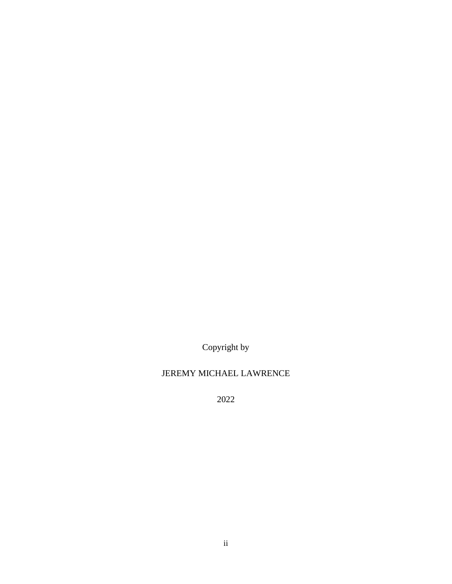Copyright by

# JEREMY MICHAEL LAWRENCE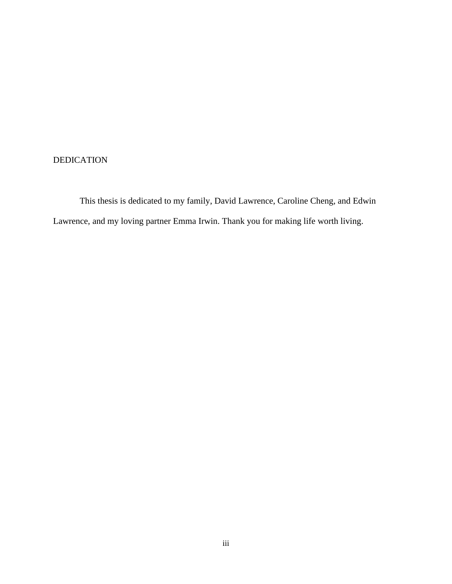# DEDICATION

This thesis is dedicated to my family, David Lawrence, Caroline Cheng, and Edwin Lawrence, and my loving partner Emma Irwin. Thank you for making life worth living.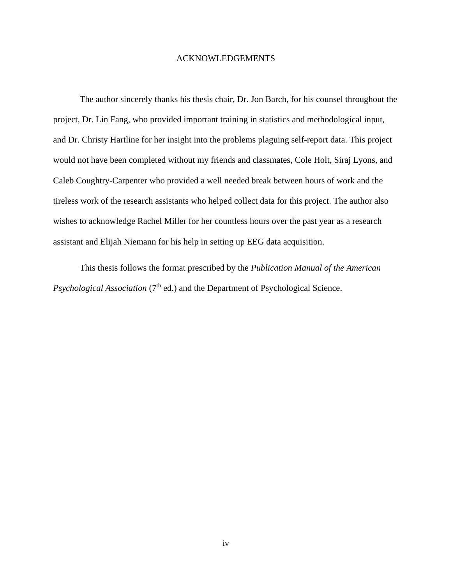### ACKNOWLEDGEMENTS

The author sincerely thanks his thesis chair, Dr. Jon Barch, for his counsel throughout the project, Dr. Lin Fang, who provided important training in statistics and methodological input, and Dr. Christy Hartline for her insight into the problems plaguing self-report data. This project would not have been completed without my friends and classmates, Cole Holt, Siraj Lyons, and Caleb Coughtry-Carpenter who provided a well needed break between hours of work and the tireless work of the research assistants who helped collect data for this project. The author also wishes to acknowledge Rachel Miller for her countless hours over the past year as a research assistant and Elijah Niemann for his help in setting up EEG data acquisition.

This thesis follows the format prescribed by the *Publication Manual of the American Psychological Association* (7<sup>th</sup> ed.) and the Department of Psychological Science.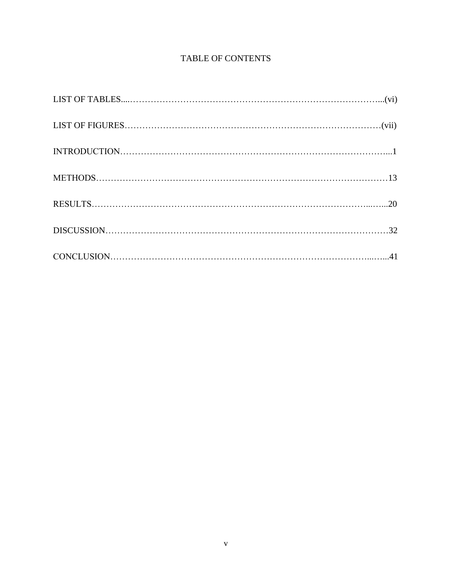# TABLE OF CONTENTS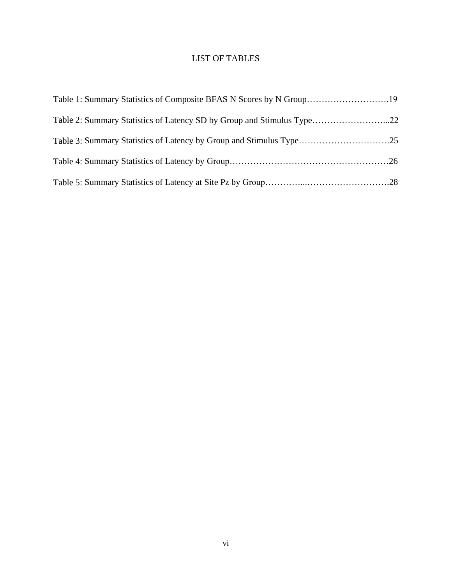# LIST OF TABLES

| Table 1: Summary Statistics of Composite BFAS N Scores by N Group19    |  |
|------------------------------------------------------------------------|--|
| Table 2: Summary Statistics of Latency SD by Group and Stimulus Type22 |  |
|                                                                        |  |
|                                                                        |  |
|                                                                        |  |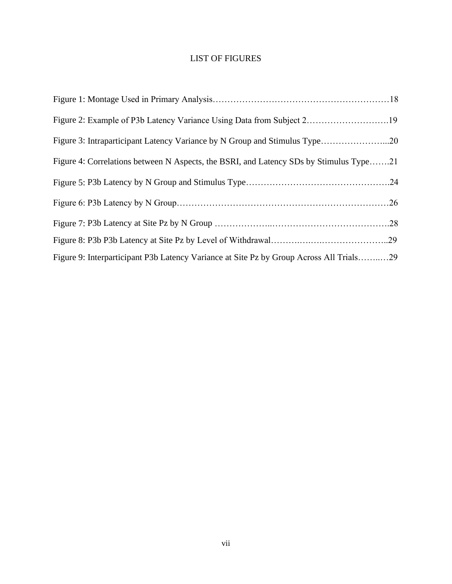# LIST OF FIGURES

| Figure 2: Example of P3b Latency Variance Using Data from Subject 219                   |  |
|-----------------------------------------------------------------------------------------|--|
| Figure 3: Intraparticipant Latency Variance by N Group and Stimulus Type20              |  |
| Figure 4: Correlations between N Aspects, the BSRI, and Latency SDs by Stimulus Type21  |  |
|                                                                                         |  |
|                                                                                         |  |
|                                                                                         |  |
|                                                                                         |  |
| Figure 9: Interparticipant P3b Latency Variance at Site Pz by Group Across All Trials29 |  |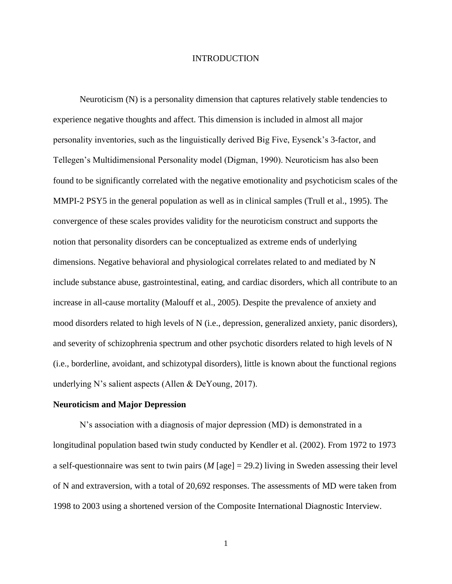## INTRODUCTION

Neuroticism (N) is a personality dimension that captures relatively stable tendencies to experience negative thoughts and affect. This dimension is included in almost all major personality inventories, such as the linguistically derived Big Five, Eysenck's 3-factor, and Tellegen's Multidimensional Personality model (Digman, 1990). Neuroticism has also been found to be significantly correlated with the negative emotionality and psychoticism scales of the MMPI-2 PSY5 in the general population as well as in clinical samples (Trull et al., 1995). The convergence of these scales provides validity for the neuroticism construct and supports the notion that personality disorders can be conceptualized as extreme ends of underlying dimensions. Negative behavioral and physiological correlates related to and mediated by N include substance abuse, gastrointestinal, eating, and cardiac disorders, which all contribute to an increase in all-cause mortality (Malouff et al., 2005). Despite the prevalence of anxiety and mood disorders related to high levels of N (i.e., depression, generalized anxiety, panic disorders), and severity of schizophrenia spectrum and other psychotic disorders related to high levels of N (i.e., borderline, avoidant, and schizotypal disorders), little is known about the functional regions underlying N's salient aspects (Allen & DeYoung, 2017).

#### **Neuroticism and Major Depression**

N's association with a diagnosis of major depression (MD) is demonstrated in a longitudinal population based twin study conducted by Kendler et al. (2002). From 1972 to 1973 a self-questionnaire was sent to twin pairs (*M* [age] = 29.2) living in Sweden assessing their level of N and extraversion, with a total of 20,692 responses. The assessments of MD were taken from 1998 to 2003 using a shortened version of the Composite International Diagnostic Interview.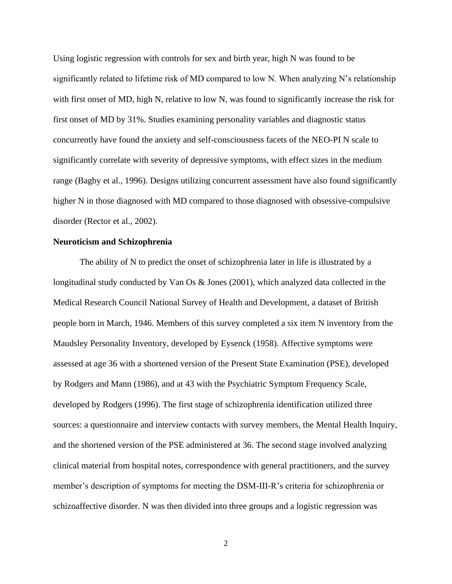Using logistic regression with controls for sex and birth year, high N was found to be significantly related to lifetime risk of MD compared to low N. When analyzing N's relationship with first onset of MD, high N, relative to low N, was found to significantly increase the risk for first onset of MD by 31%. Studies examining personality variables and diagnostic status concurrently have found the anxiety and self-consciousness facets of the NEO-PI N scale to significantly correlate with severity of depressive symptoms, with effect sizes in the medium range (Bagby et al., 1996). Designs utilizing concurrent assessment have also found significantly higher N in those diagnosed with MD compared to those diagnosed with obsessive-compulsive disorder (Rector et al., 2002).

#### **Neuroticism and Schizophrenia**

The ability of N to predict the onset of schizophrenia later in life is illustrated by a longitudinal study conducted by Van Os & Jones (2001), which analyzed data collected in the Medical Research Council National Survey of Health and Development, a dataset of British people born in March, 1946. Members of this survey completed a six item N inventory from the Maudsley Personality Inventory, developed by Eysenck (1958). Affective symptoms were assessed at age 36 with a shortened version of the Present State Examination (PSE), developed by Rodgers and Mann (1986), and at 43 with the Psychiatric Symptom Frequency Scale, developed by Rodgers (1996). The first stage of schizophrenia identification utilized three sources: a questionnaire and interview contacts with survey members, the Mental Health Inquiry, and the shortened version of the PSE administered at 36. The second stage involved analyzing clinical material from hospital notes, correspondence with general practitioners, and the survey member's description of symptoms for meeting the DSM-III-R's criteria for schizophrenia or schizoaffective disorder. N was then divided into three groups and a logistic regression was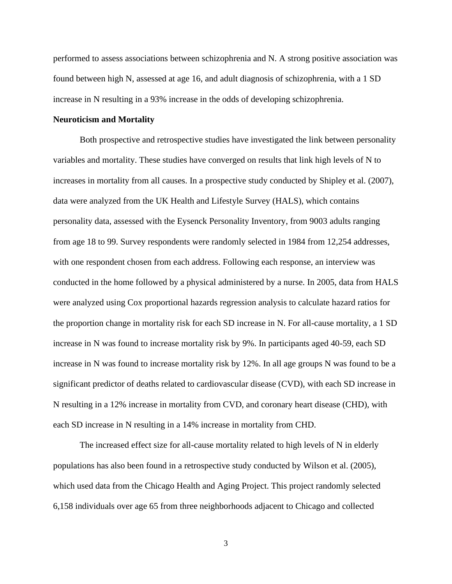performed to assess associations between schizophrenia and N. A strong positive association was found between high N, assessed at age 16, and adult diagnosis of schizophrenia, with a 1 SD increase in N resulting in a 93% increase in the odds of developing schizophrenia.

### **Neuroticism and Mortality**

Both prospective and retrospective studies have investigated the link between personality variables and mortality. These studies have converged on results that link high levels of N to increases in mortality from all causes. In a prospective study conducted by Shipley et al. (2007), data were analyzed from the UK Health and Lifestyle Survey (HALS), which contains personality data, assessed with the Eysenck Personality Inventory, from 9003 adults ranging from age 18 to 99. Survey respondents were randomly selected in 1984 from 12,254 addresses, with one respondent chosen from each address. Following each response, an interview was conducted in the home followed by a physical administered by a nurse. In 2005, data from HALS were analyzed using Cox proportional hazards regression analysis to calculate hazard ratios for the proportion change in mortality risk for each SD increase in N. For all-cause mortality, a 1 SD increase in N was found to increase mortality risk by 9%. In participants aged 40-59, each SD increase in N was found to increase mortality risk by 12%. In all age groups N was found to be a significant predictor of deaths related to cardiovascular disease (CVD), with each SD increase in N resulting in a 12% increase in mortality from CVD, and coronary heart disease (CHD), with each SD increase in N resulting in a 14% increase in mortality from CHD.

The increased effect size for all-cause mortality related to high levels of N in elderly populations has also been found in a retrospective study conducted by Wilson et al. (2005), which used data from the Chicago Health and Aging Project. This project randomly selected 6,158 individuals over age 65 from three neighborhoods adjacent to Chicago and collected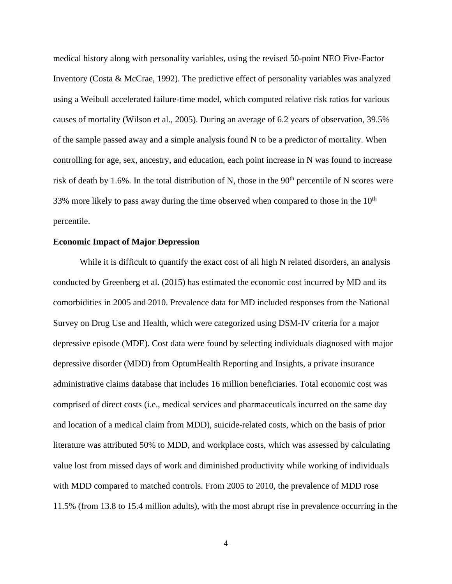medical history along with personality variables, using the revised 50-point NEO Five-Factor Inventory (Costa & McCrae, 1992). The predictive effect of personality variables was analyzed using a Weibull accelerated failure-time model, which computed relative risk ratios for various causes of mortality (Wilson et al., 2005). During an average of 6.2 years of observation, 39.5% of the sample passed away and a simple analysis found N to be a predictor of mortality. When controlling for age, sex, ancestry, and education, each point increase in N was found to increase risk of death by 1.6%. In the total distribution of N, those in the  $90<sup>th</sup>$  percentile of N scores were 33% more likely to pass away during the time observed when compared to those in the  $10<sup>th</sup>$ percentile.

#### **Economic Impact of Major Depression**

While it is difficult to quantify the exact cost of all high N related disorders, an analysis conducted by Greenberg et al. (2015) has estimated the economic cost incurred by MD and its comorbidities in 2005 and 2010. Prevalence data for MD included responses from the National Survey on Drug Use and Health, which were categorized using DSM-IV criteria for a major depressive episode (MDE). Cost data were found by selecting individuals diagnosed with major depressive disorder (MDD) from OptumHealth Reporting and Insights, a private insurance administrative claims database that includes 16 million beneficiaries. Total economic cost was comprised of direct costs (i.e., medical services and pharmaceuticals incurred on the same day and location of a medical claim from MDD), suicide-related costs, which on the basis of prior literature was attributed 50% to MDD, and workplace costs, which was assessed by calculating value lost from missed days of work and diminished productivity while working of individuals with MDD compared to matched controls. From 2005 to 2010, the prevalence of MDD rose 11.5% (from 13.8 to 15.4 million adults), with the most abrupt rise in prevalence occurring in the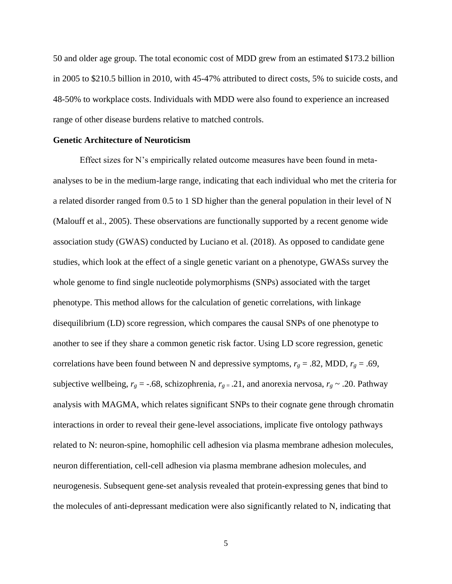50 and older age group. The total economic cost of MDD grew from an estimated \$173.2 billion in 2005 to \$210.5 billion in 2010, with 45-47% attributed to direct costs, 5% to suicide costs, and 48-50% to workplace costs. Individuals with MDD were also found to experience an increased range of other disease burdens relative to matched controls.

### **Genetic Architecture of Neuroticism**

Effect sizes for N's empirically related outcome measures have been found in metaanalyses to be in the medium-large range, indicating that each individual who met the criteria for a related disorder ranged from 0.5 to 1 SD higher than the general population in their level of N (Malouff et al., 2005). These observations are functionally supported by a recent genome wide association study (GWAS) conducted by Luciano et al. (2018). As opposed to candidate gene studies, which look at the effect of a single genetic variant on a phenotype, GWASs survey the whole genome to find single nucleotide polymorphisms (SNPs) associated with the target phenotype. This method allows for the calculation of genetic correlations, with linkage disequilibrium (LD) score regression, which compares the causal SNPs of one phenotype to another to see if they share a common genetic risk factor. Using LD score regression, genetic correlations have been found between N and depressive symptoms,  $r_g = .82$ , MDD,  $r_g = .69$ , subjective wellbeing,  $r_g = -.68$ , schizophrenia,  $r_g = .21$ , and anorexia nervosa,  $r_g \sim .20$ . Pathway analysis with MAGMA, which relates significant SNPs to their cognate gene through chromatin interactions in order to reveal their gene-level associations, implicate five ontology pathways related to N: neuron-spine, homophilic cell adhesion via plasma membrane adhesion molecules, neuron differentiation, cell-cell adhesion via plasma membrane adhesion molecules, and neurogenesis. Subsequent gene-set analysis revealed that protein-expressing genes that bind to the molecules of anti-depressant medication were also significantly related to N, indicating that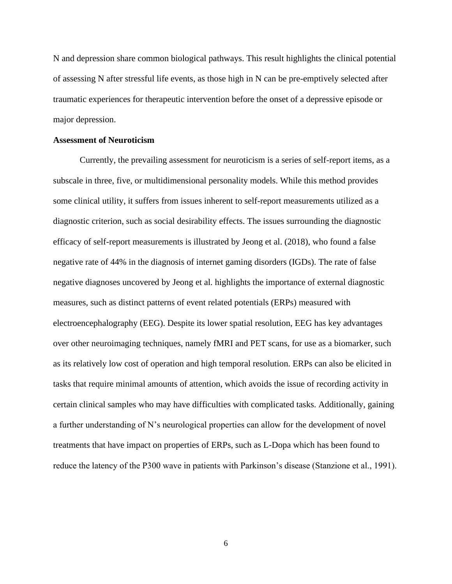N and depression share common biological pathways. This result highlights the clinical potential of assessing N after stressful life events, as those high in N can be pre-emptively selected after traumatic experiences for therapeutic intervention before the onset of a depressive episode or major depression.

### **Assessment of Neuroticism**

Currently, the prevailing assessment for neuroticism is a series of self-report items, as a subscale in three, five, or multidimensional personality models. While this method provides some clinical utility, it suffers from issues inherent to self-report measurements utilized as a diagnostic criterion, such as social desirability effects. The issues surrounding the diagnostic efficacy of self-report measurements is illustrated by Jeong et al. (2018), who found a false negative rate of 44% in the diagnosis of internet gaming disorders (IGDs). The rate of false negative diagnoses uncovered by Jeong et al. highlights the importance of external diagnostic measures, such as distinct patterns of event related potentials (ERPs) measured with electroencephalography (EEG). Despite its lower spatial resolution, EEG has key advantages over other neuroimaging techniques, namely fMRI and PET scans, for use as a biomarker, such as its relatively low cost of operation and high temporal resolution. ERPs can also be elicited in tasks that require minimal amounts of attention, which avoids the issue of recording activity in certain clinical samples who may have difficulties with complicated tasks. Additionally, gaining a further understanding of N's neurological properties can allow for the development of novel treatments that have impact on properties of ERPs, such as L-Dopa which has been found to reduce the latency of the P300 wave in patients with Parkinson's disease (Stanzione et al., 1991).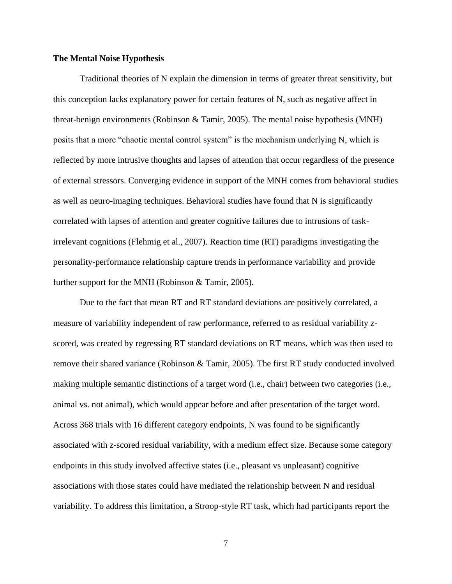#### **The Mental Noise Hypothesis**

Traditional theories of N explain the dimension in terms of greater threat sensitivity, but this conception lacks explanatory power for certain features of N, such as negative affect in threat-benign environments (Robinson & Tamir, 2005). The mental noise hypothesis (MNH) posits that a more "chaotic mental control system" is the mechanism underlying N, which is reflected by more intrusive thoughts and lapses of attention that occur regardless of the presence of external stressors. Converging evidence in support of the MNH comes from behavioral studies as well as neuro-imaging techniques. Behavioral studies have found that N is significantly correlated with lapses of attention and greater cognitive failures due to intrusions of taskirrelevant cognitions (Flehmig et al., 2007). Reaction time (RT) paradigms investigating the personality-performance relationship capture trends in performance variability and provide further support for the MNH (Robinson & Tamir, 2005).

Due to the fact that mean RT and RT standard deviations are positively correlated, a measure of variability independent of raw performance, referred to as residual variability zscored, was created by regressing RT standard deviations on RT means, which was then used to remove their shared variance (Robinson & Tamir, 2005). The first RT study conducted involved making multiple semantic distinctions of a target word (i.e., chair) between two categories (i.e., animal vs. not animal), which would appear before and after presentation of the target word. Across 368 trials with 16 different category endpoints, N was found to be significantly associated with z-scored residual variability, with a medium effect size. Because some category endpoints in this study involved affective states (i.e., pleasant vs unpleasant) cognitive associations with those states could have mediated the relationship between N and residual variability. To address this limitation, a Stroop-style RT task, which had participants report the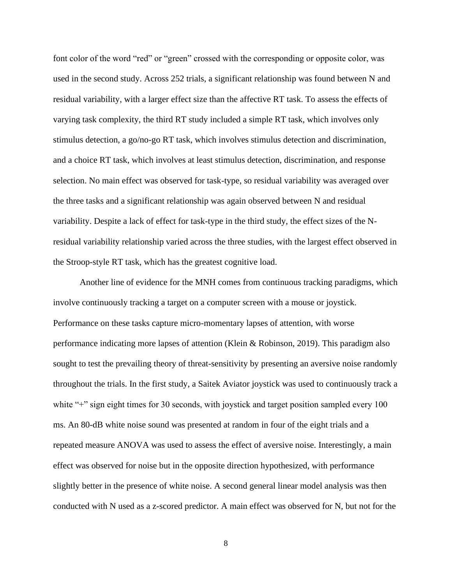font color of the word "red" or "green" crossed with the corresponding or opposite color, was used in the second study. Across 252 trials, a significant relationship was found between N and residual variability, with a larger effect size than the affective RT task. To assess the effects of varying task complexity, the third RT study included a simple RT task, which involves only stimulus detection, a go/no-go RT task, which involves stimulus detection and discrimination, and a choice RT task, which involves at least stimulus detection, discrimination, and response selection. No main effect was observed for task-type, so residual variability was averaged over the three tasks and a significant relationship was again observed between N and residual variability. Despite a lack of effect for task-type in the third study, the effect sizes of the Nresidual variability relationship varied across the three studies, with the largest effect observed in the Stroop-style RT task, which has the greatest cognitive load.

Another line of evidence for the MNH comes from continuous tracking paradigms, which involve continuously tracking a target on a computer screen with a mouse or joystick. Performance on these tasks capture micro-momentary lapses of attention, with worse performance indicating more lapses of attention (Klein & Robinson, 2019). This paradigm also sought to test the prevailing theory of threat-sensitivity by presenting an aversive noise randomly throughout the trials. In the first study, a Saitek Aviator joystick was used to continuously track a white "+" sign eight times for 30 seconds, with joystick and target position sampled every 100 ms. An 80-dB white noise sound was presented at random in four of the eight trials and a repeated measure ANOVA was used to assess the effect of aversive noise. Interestingly, a main effect was observed for noise but in the opposite direction hypothesized, with performance slightly better in the presence of white noise. A second general linear model analysis was then conducted with N used as a z-scored predictor. A main effect was observed for N, but not for the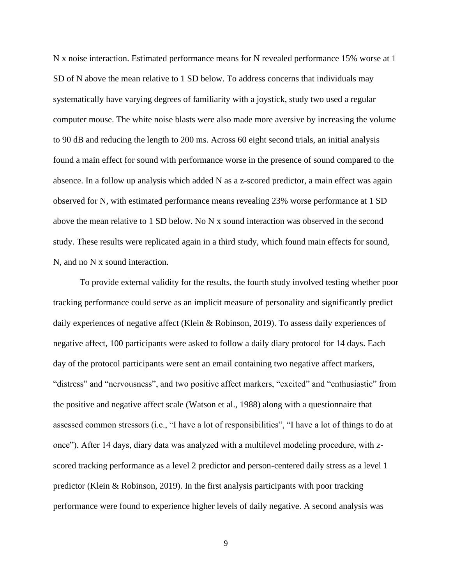N x noise interaction. Estimated performance means for N revealed performance 15% worse at 1 SD of N above the mean relative to 1 SD below. To address concerns that individuals may systematically have varying degrees of familiarity with a joystick, study two used a regular computer mouse. The white noise blasts were also made more aversive by increasing the volume to 90 dB and reducing the length to 200 ms. Across 60 eight second trials, an initial analysis found a main effect for sound with performance worse in the presence of sound compared to the absence. In a follow up analysis which added N as a z-scored predictor, a main effect was again observed for N, with estimated performance means revealing 23% worse performance at 1 SD above the mean relative to 1 SD below. No N x sound interaction was observed in the second study. These results were replicated again in a third study, which found main effects for sound, N, and no N x sound interaction.

To provide external validity for the results, the fourth study involved testing whether poor tracking performance could serve as an implicit measure of personality and significantly predict daily experiences of negative affect (Klein & Robinson, 2019). To assess daily experiences of negative affect, 100 participants were asked to follow a daily diary protocol for 14 days. Each day of the protocol participants were sent an email containing two negative affect markers, "distress" and "nervousness", and two positive affect markers, "excited" and "enthusiastic" from the positive and negative affect scale (Watson et al., 1988) along with a questionnaire that assessed common stressors (i.e., "I have a lot of responsibilities", "I have a lot of things to do at once"). After 14 days, diary data was analyzed with a multilevel modeling procedure, with zscored tracking performance as a level 2 predictor and person-centered daily stress as a level 1 predictor (Klein & Robinson, 2019). In the first analysis participants with poor tracking performance were found to experience higher levels of daily negative. A second analysis was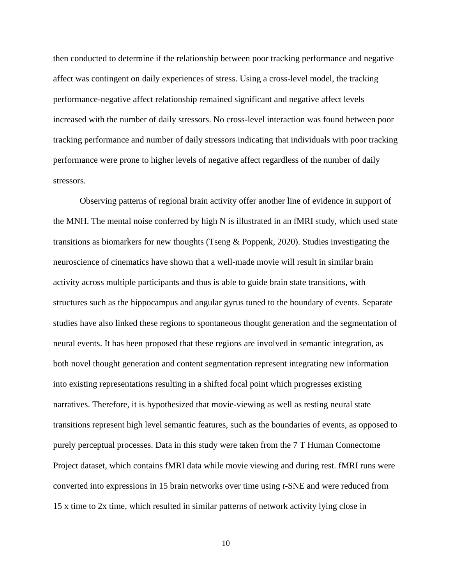then conducted to determine if the relationship between poor tracking performance and negative affect was contingent on daily experiences of stress. Using a cross-level model, the tracking performance-negative affect relationship remained significant and negative affect levels increased with the number of daily stressors. No cross-level interaction was found between poor tracking performance and number of daily stressors indicating that individuals with poor tracking performance were prone to higher levels of negative affect regardless of the number of daily stressors.

Observing patterns of regional brain activity offer another line of evidence in support of the MNH. The mental noise conferred by high N is illustrated in an fMRI study, which used state transitions as biomarkers for new thoughts (Tseng & Poppenk, 2020). Studies investigating the neuroscience of cinematics have shown that a well-made movie will result in similar brain activity across multiple participants and thus is able to guide brain state transitions, with structures such as the hippocampus and angular gyrus tuned to the boundary of events. Separate studies have also linked these regions to spontaneous thought generation and the segmentation of neural events. It has been proposed that these regions are involved in semantic integration, as both novel thought generation and content segmentation represent integrating new information into existing representations resulting in a shifted focal point which progresses existing narratives. Therefore, it is hypothesized that movie-viewing as well as resting neural state transitions represent high level semantic features, such as the boundaries of events, as opposed to purely perceptual processes. Data in this study were taken from the 7 T Human Connectome Project dataset, which contains fMRI data while movie viewing and during rest. fMRI runs were converted into expressions in 15 brain networks over time using *t-*SNE and were reduced from 15 x time to 2x time, which resulted in similar patterns of network activity lying close in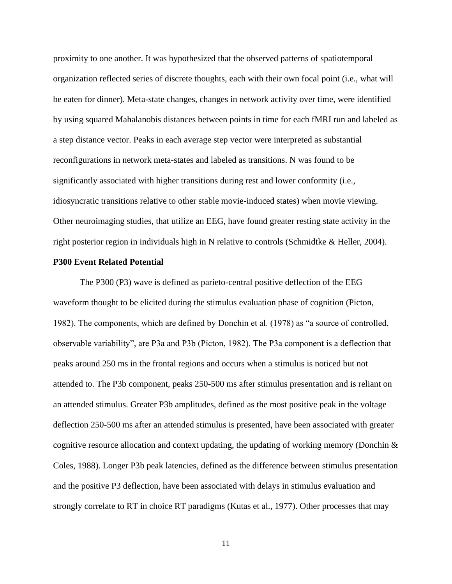proximity to one another. It was hypothesized that the observed patterns of spatiotemporal organization reflected series of discrete thoughts, each with their own focal point (i.e., what will be eaten for dinner). Meta-state changes, changes in network activity over time, were identified by using squared Mahalanobis distances between points in time for each fMRI run and labeled as a step distance vector. Peaks in each average step vector were interpreted as substantial reconfigurations in network meta-states and labeled as transitions. N was found to be significantly associated with higher transitions during rest and lower conformity (i.e., idiosyncratic transitions relative to other stable movie-induced states) when movie viewing. Other neuroimaging studies, that utilize an EEG, have found greater resting state activity in the right posterior region in individuals high in N relative to controls (Schmidtke & Heller, 2004).

#### **P300 Event Related Potential**

The P300 (P3) wave is defined as parieto-central positive deflection of the EEG waveform thought to be elicited during the stimulus evaluation phase of cognition (Picton, 1982). The components, which are defined by Donchin et al. (1978) as "a source of controlled, observable variability", are P3a and P3b (Picton, 1982). The P3a component is a deflection that peaks around 250 ms in the frontal regions and occurs when a stimulus is noticed but not attended to. The P3b component, peaks 250-500 ms after stimulus presentation and is reliant on an attended stimulus. Greater P3b amplitudes, defined as the most positive peak in the voltage deflection 250-500 ms after an attended stimulus is presented, have been associated with greater cognitive resource allocation and context updating, the updating of working memory (Donchin & Coles, 1988). Longer P3b peak latencies, defined as the difference between stimulus presentation and the positive P3 deflection, have been associated with delays in stimulus evaluation and strongly correlate to RT in choice RT paradigms (Kutas et al., 1977). Other processes that may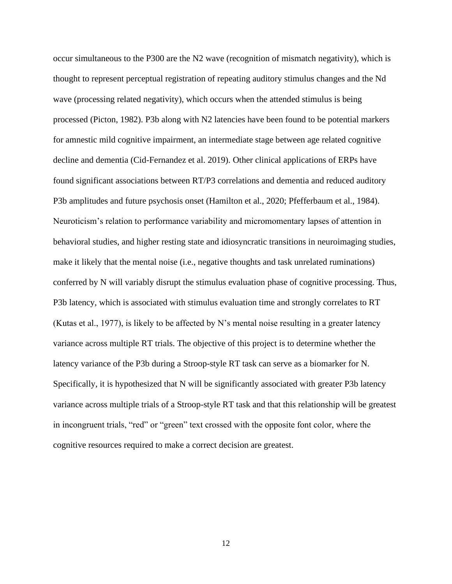occur simultaneous to the P300 are the N2 wave (recognition of mismatch negativity), which is thought to represent perceptual registration of repeating auditory stimulus changes and the Nd wave (processing related negativity), which occurs when the attended stimulus is being processed (Picton, 1982). P3b along with N2 latencies have been found to be potential markers for amnestic mild cognitive impairment, an intermediate stage between age related cognitive decline and dementia (Cid-Fernandez et al. 2019). Other clinical applications of ERPs have found significant associations between RT/P3 correlations and dementia and reduced auditory P3b amplitudes and future psychosis onset (Hamilton et al., 2020; Pfefferbaum et al., 1984). Neuroticism's relation to performance variability and micromomentary lapses of attention in behavioral studies, and higher resting state and idiosyncratic transitions in neuroimaging studies, make it likely that the mental noise (i.e., negative thoughts and task unrelated ruminations) conferred by N will variably disrupt the stimulus evaluation phase of cognitive processing. Thus, P3b latency, which is associated with stimulus evaluation time and strongly correlates to RT (Kutas et al., 1977), is likely to be affected by N's mental noise resulting in a greater latency variance across multiple RT trials. The objective of this project is to determine whether the latency variance of the P3b during a Stroop-style RT task can serve as a biomarker for N. Specifically, it is hypothesized that N will be significantly associated with greater P3b latency variance across multiple trials of a Stroop-style RT task and that this relationship will be greatest in incongruent trials, "red" or "green" text crossed with the opposite font color, where the cognitive resources required to make a correct decision are greatest.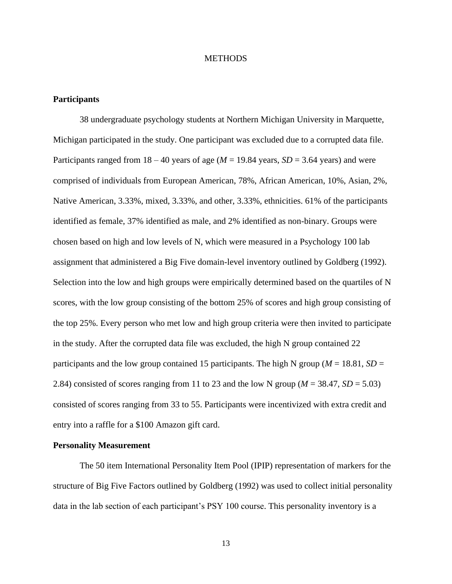### **METHODS**

# **Participants**

38 undergraduate psychology students at Northern Michigan University in Marquette, Michigan participated in the study. One participant was excluded due to a corrupted data file. Participants ranged from  $18 - 40$  years of age ( $M = 19.84$  years,  $SD = 3.64$  years) and were comprised of individuals from European American, 78%, African American, 10%, Asian, 2%, Native American, 3.33%, mixed, 3.33%, and other, 3.33%, ethnicities. 61% of the participants identified as female, 37% identified as male, and 2% identified as non-binary. Groups were chosen based on high and low levels of N, which were measured in a Psychology 100 lab assignment that administered a Big Five domain-level inventory outlined by Goldberg (1992). Selection into the low and high groups were empirically determined based on the quartiles of N scores, with the low group consisting of the bottom 25% of scores and high group consisting of the top 25%. Every person who met low and high group criteria were then invited to participate in the study. After the corrupted data file was excluded, the high N group contained 22 participants and the low group contained 15 participants. The high N group (*M* = 18.81, *SD* = 2.84) consisted of scores ranging from 11 to 23 and the low N group ( $M = 38.47$ ,  $SD = 5.03$ ) consisted of scores ranging from 33 to 55. Participants were incentivized with extra credit and entry into a raffle for a \$100 Amazon gift card.

# **Personality Measurement**

The 50 item International Personality Item Pool (IPIP) representation of markers for the structure of Big Five Factors outlined by Goldberg (1992) was used to collect initial personality data in the lab section of each participant's PSY 100 course. This personality inventory is a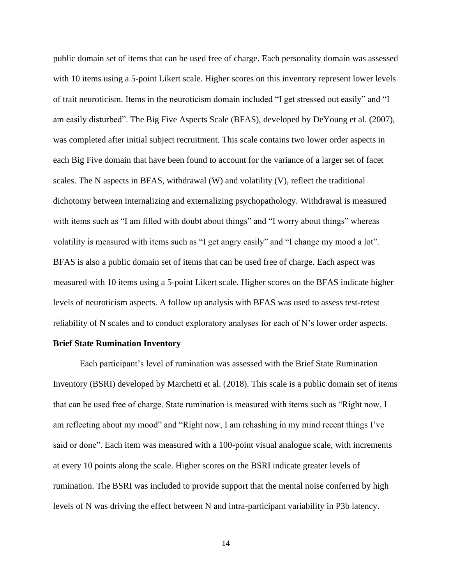public domain set of items that can be used free of charge. Each personality domain was assessed with 10 items using a 5-point Likert scale. Higher scores on this inventory represent lower levels of trait neuroticism. Items in the neuroticism domain included "I get stressed out easily" and "I am easily disturbed". The Big Five Aspects Scale (BFAS), developed by DeYoung et al. (2007), was completed after initial subject recruitment. This scale contains two lower order aspects in each Big Five domain that have been found to account for the variance of a larger set of facet scales. The N aspects in BFAS, withdrawal (W) and volatility (V), reflect the traditional dichotomy between internalizing and externalizing psychopathology. Withdrawal is measured with items such as "I am filled with doubt about things" and "I worry about things" whereas volatility is measured with items such as "I get angry easily" and "I change my mood a lot". BFAS is also a public domain set of items that can be used free of charge. Each aspect was measured with 10 items using a 5-point Likert scale. Higher scores on the BFAS indicate higher levels of neuroticism aspects. A follow up analysis with BFAS was used to assess test-retest reliability of N scales and to conduct exploratory analyses for each of N's lower order aspects.

#### **Brief State Rumination Inventory**

Each participant's level of rumination was assessed with the Brief State Rumination Inventory (BSRI) developed by Marchetti et al. (2018). This scale is a public domain set of items that can be used free of charge. State rumination is measured with items such as "Right now, I am reflecting about my mood" and "Right now, I am rehashing in my mind recent things I've said or done". Each item was measured with a 100-point visual analogue scale, with increments at every 10 points along the scale. Higher scores on the BSRI indicate greater levels of rumination. The BSRI was included to provide support that the mental noise conferred by high levels of N was driving the effect between N and intra-participant variability in P3b latency.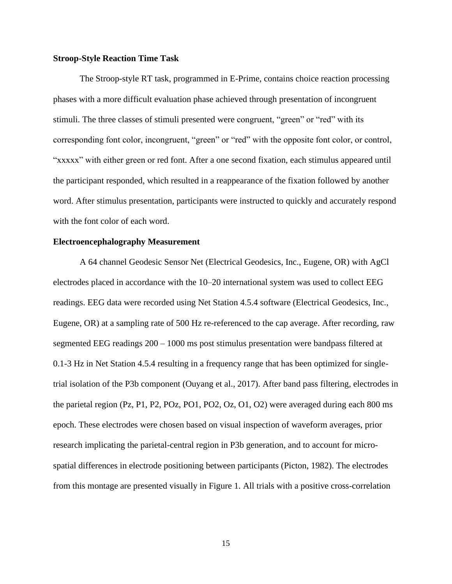#### **Stroop-Style Reaction Time Task**

The Stroop-style RT task, programmed in E-Prime, contains choice reaction processing phases with a more difficult evaluation phase achieved through presentation of incongruent stimuli. The three classes of stimuli presented were congruent, "green" or "red" with its corresponding font color, incongruent, "green" or "red" with the opposite font color, or control, "xxxxx" with either green or red font. After a one second fixation, each stimulus appeared until the participant responded, which resulted in a reappearance of the fixation followed by another word. After stimulus presentation, participants were instructed to quickly and accurately respond with the font color of each word.

#### **Electroencephalography Measurement**

A 64 channel Geodesic Sensor Net (Electrical Geodesics, Inc., Eugene, OR) with AgCl electrodes placed in accordance with the 10–20 international system was used to collect EEG readings. EEG data were recorded using Net Station 4.5.4 software (Electrical Geodesics, Inc., Eugene, OR) at a sampling rate of 500 Hz re-referenced to the cap average. After recording, raw segmented EEG readings 200 – 1000 ms post stimulus presentation were bandpass filtered at 0.1-3 Hz in Net Station 4.5.4 resulting in a frequency range that has been optimized for singletrial isolation of the P3b component (Ouyang et al., 2017). After band pass filtering, electrodes in the parietal region (Pz, P1, P2, POz, PO1, PO2, Oz, O1, O2) were averaged during each 800 ms epoch. These electrodes were chosen based on visual inspection of waveform averages, prior research implicating the parietal-central region in P3b generation, and to account for microspatial differences in electrode positioning between participants (Picton, 1982). The electrodes from this montage are presented visually in Figure 1. All trials with a positive cross-correlation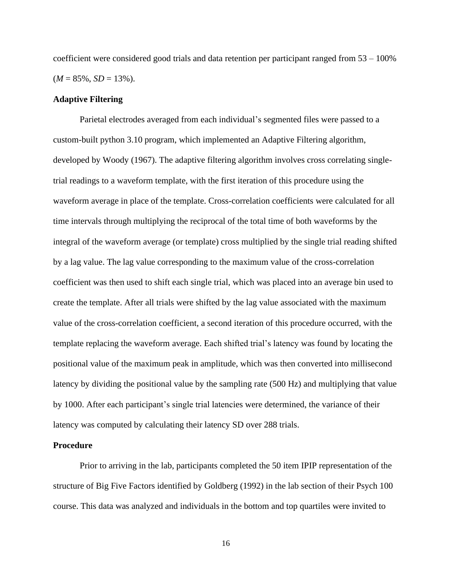coefficient were considered good trials and data retention per participant ranged from 53 – 100%  $(M = 85\%, SD = 13\%).$ 

# **Adaptive Filtering**

Parietal electrodes averaged from each individual's segmented files were passed to a custom-built python 3.10 program, which implemented an Adaptive Filtering algorithm, developed by Woody (1967). The adaptive filtering algorithm involves cross correlating singletrial readings to a waveform template, with the first iteration of this procedure using the waveform average in place of the template. Cross-correlation coefficients were calculated for all time intervals through multiplying the reciprocal of the total time of both waveforms by the integral of the waveform average (or template) cross multiplied by the single trial reading shifted by a lag value. The lag value corresponding to the maximum value of the cross-correlation coefficient was then used to shift each single trial, which was placed into an average bin used to create the template. After all trials were shifted by the lag value associated with the maximum value of the cross-correlation coefficient, a second iteration of this procedure occurred, with the template replacing the waveform average. Each shifted trial's latency was found by locating the positional value of the maximum peak in amplitude, which was then converted into millisecond latency by dividing the positional value by the sampling rate (500 Hz) and multiplying that value by 1000. After each participant's single trial latencies were determined, the variance of their latency was computed by calculating their latency SD over 288 trials.

# **Procedure**

Prior to arriving in the lab, participants completed the 50 item IPIP representation of the structure of Big Five Factors identified by Goldberg (1992) in the lab section of their Psych 100 course. This data was analyzed and individuals in the bottom and top quartiles were invited to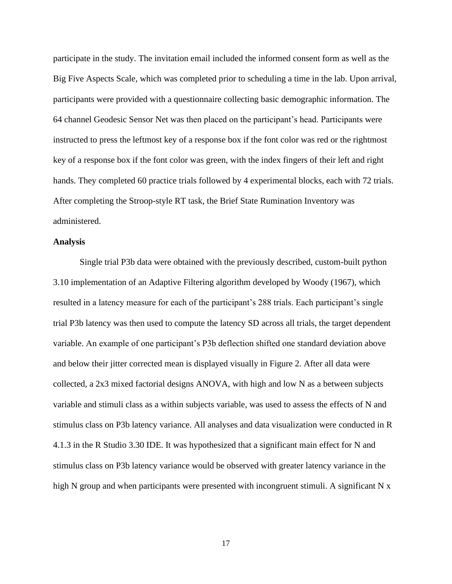participate in the study. The invitation email included the informed consent form as well as the Big Five Aspects Scale, which was completed prior to scheduling a time in the lab. Upon arrival, participants were provided with a questionnaire collecting basic demographic information. The 64 channel Geodesic Sensor Net was then placed on the participant's head. Participants were instructed to press the leftmost key of a response box if the font color was red or the rightmost key of a response box if the font color was green, with the index fingers of their left and right hands. They completed 60 practice trials followed by 4 experimental blocks, each with 72 trials. After completing the Stroop-style RT task, the Brief State Rumination Inventory was administered.

#### **Analysis**

Single trial P3b data were obtained with the previously described, custom-built python 3.10 implementation of an Adaptive Filtering algorithm developed by Woody (1967), which resulted in a latency measure for each of the participant's 288 trials. Each participant's single trial P3b latency was then used to compute the latency SD across all trials, the target dependent variable. An example of one participant's P3b deflection shifted one standard deviation above and below their jitter corrected mean is displayed visually in Figure 2. After all data were collected, a 2x3 mixed factorial designs ANOVA, with high and low N as a between subjects variable and stimuli class as a within subjects variable, was used to assess the effects of N and stimulus class on P3b latency variance. All analyses and data visualization were conducted in R 4.1.3 in the R Studio 3.30 IDE. It was hypothesized that a significant main effect for N and stimulus class on P3b latency variance would be observed with greater latency variance in the high N group and when participants were presented with incongruent stimuli. A significant N x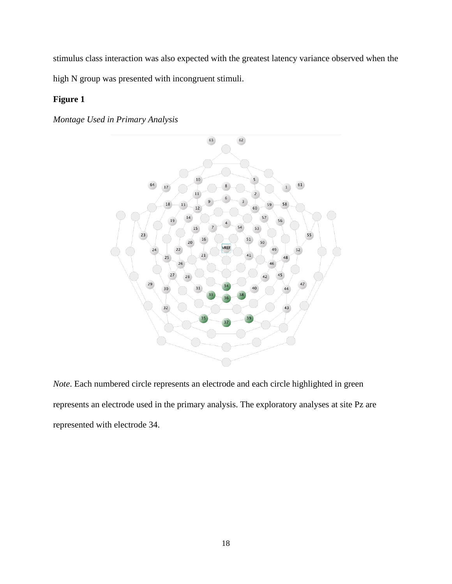stimulus class interaction was also expected with the greatest latency variance observed when the high N group was presented with incongruent stimuli.

# **Figure 1**

*Montage Used in Primary Analysis* 



*Note*. Each numbered circle represents an electrode and each circle highlighted in green represents an electrode used in the primary analysis. The exploratory analyses at site Pz are represented with electrode 34.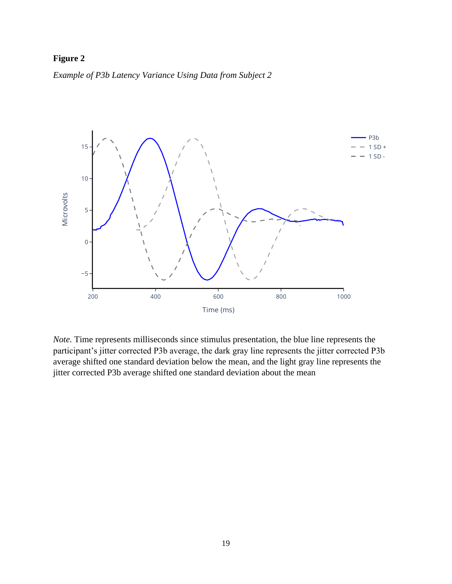# **Figure 2**

*Example of P3b Latency Variance Using Data from Subject 2* 



*Note.* Time represents milliseconds since stimulus presentation, the blue line represents the participant's jitter corrected P3b average, the dark gray line represents the jitter corrected P3b average shifted one standard deviation below the mean, and the light gray line represents the jitter corrected P3b average shifted one standard deviation about the mean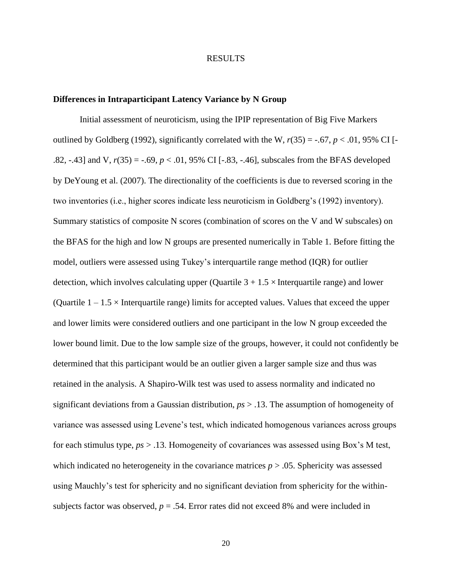#### RESULTS

# **Differences in Intraparticipant Latency Variance by N Group**

Initial assessment of neuroticism, using the IPIP representation of Big Five Markers outlined by Goldberg (1992), significantly correlated with the W,  $r(35) = -.67$ ,  $p < .01$ , 95% CI [-.82, -.43] and V, *r*(35) = -.69, *p* < .01, 95% CI [-.83, -.46], subscales from the BFAS developed by DeYoung et al. (2007). The directionality of the coefficients is due to reversed scoring in the two inventories (i.e., higher scores indicate less neuroticism in Goldberg's (1992) inventory). Summary statistics of composite N scores (combination of scores on the V and W subscales) on the BFAS for the high and low N groups are presented numerically in Table 1. Before fitting the model, outliers were assessed using Tukey's interquartile range method (IQR) for outlier detection, which involves calculating upper (Quartile  $3 + 1.5 \times$ Interguartile range) and lower (Quartile  $1 - 1.5 \times$  Interquartile range) limits for accepted values. Values that exceed the upper and lower limits were considered outliers and one participant in the low N group exceeded the lower bound limit. Due to the low sample size of the groups, however, it could not confidently be determined that this participant would be an outlier given a larger sample size and thus was retained in the analysis. A Shapiro-Wilk test was used to assess normality and indicated no significant deviations from a Gaussian distribution, *ps* > .13. The assumption of homogeneity of variance was assessed using Levene's test, which indicated homogenous variances across groups for each stimulus type, *ps* > .13. Homogeneity of covariances was assessed using Box's M test, which indicated no heterogeneity in the covariance matrices  $p > 0.05$ . Sphericity was assessed using Mauchly's test for sphericity and no significant deviation from sphericity for the withinsubjects factor was observed,  $p = .54$ . Error rates did not exceed 8% and were included in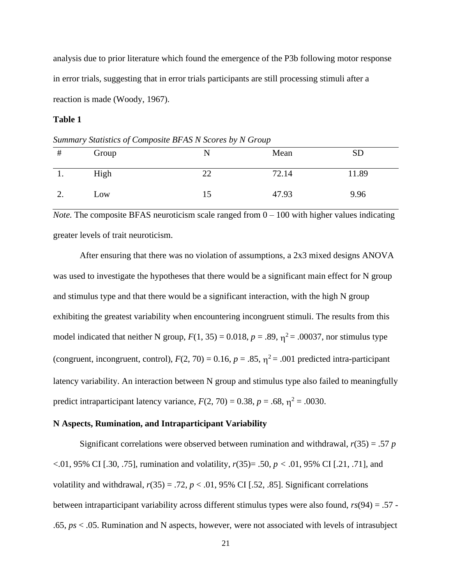analysis due to prior literature which found the emergence of the P3b following motor response in error trials, suggesting that in error trials participants are still processing stimuli after a reaction is made (Woody, 1967).

# **Table 1**

# Group N Mean SD 1. High 22 72.14 11.89

2. Low 15 47.93 9.96

*Summary Statistics of Composite BFAS N Scores by N Group*

*Note.* The composite BFAS neuroticism scale ranged from  $0 - 100$  with higher values indicating greater levels of trait neuroticism.

After ensuring that there was no violation of assumptions, a 2x3 mixed designs ANOVA was used to investigate the hypotheses that there would be a significant main effect for N group and stimulus type and that there would be a significant interaction, with the high N group exhibiting the greatest variability when encountering incongruent stimuli. The results from this model indicated that neither N group,  $F(1, 35) = 0.018$ ,  $p = .89$ ,  $\eta^2 = .00037$ , nor stimulus type (congruent, incongruent, control),  $F(2, 70) = 0.16$ ,  $p = .85$ ,  $\eta^2 = .001$  predicted intra-participant latency variability. An interaction between N group and stimulus type also failed to meaningfully predict intraparticipant latency variance,  $F(2, 70) = 0.38$ ,  $p = .68$ ,  $\eta^2 = .0030$ .

# **N Aspects, Rumination, and Intraparticipant Variability**

Significant correlations were observed between rumination and withdrawal,  $r(35) = .57$  *p* <.01, 95% CI [.30, .75], rumination and volatility, *r*(35)= .50, *p <* .01, 95% CI [.21, .71], and volatility and withdrawal,  $r(35) = .72$ ,  $p < .01$ , 95% CI [.52, .85]. Significant correlations between intraparticipant variability across different stimulus types were also found, *rs*(94) = .57 - .65, *ps* < .05. Rumination and N aspects, however, were not associated with levels of intrasubject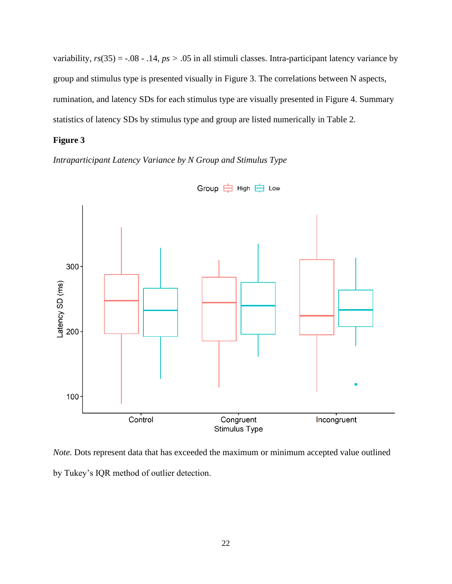variability,  $rs(35) = -.08 - .14$ ,  $ps > .05$  in all stimuli classes. Intra-participant latency variance by group and stimulus type is presented visually in Figure 3. The correlations between N aspects, rumination, and latency SDs for each stimulus type are visually presented in Figure 4. Summary statistics of latency SDs by stimulus type and group are listed numerically in Table 2.

# **Figure 3**

*Intraparticipant Latency Variance by N Group and Stimulus Type*



*Note*. Dots represent data that has exceeded the maximum or minimum accepted value outlined by Tukey's IQR method of outlier detection.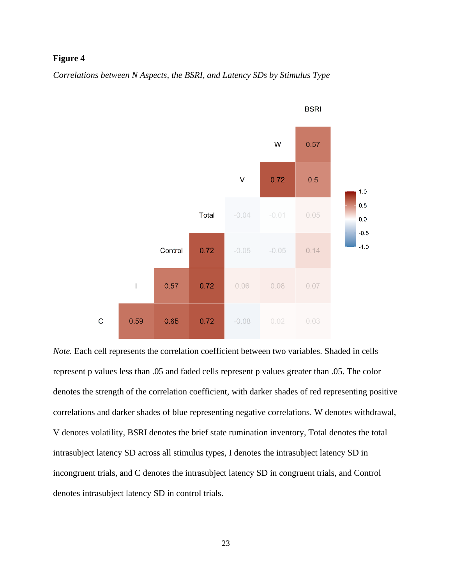# **Figure 4**

*Correlations between N Aspects, the BSRI, and Latency SDs by Stimulus Type*



*Note.* Each cell represents the correlation coefficient between two variables. Shaded in cells represent p values less than .05 and faded cells represent p values greater than .05. The color denotes the strength of the correlation coefficient, with darker shades of red representing positive correlations and darker shades of blue representing negative correlations. W denotes withdrawal, V denotes volatility, BSRI denotes the brief state rumination inventory, Total denotes the total intrasubject latency SD across all stimulus types, I denotes the intrasubject latency SD in incongruent trials, and C denotes the intrasubject latency SD in congruent trials, and Control denotes intrasubject latency SD in control trials.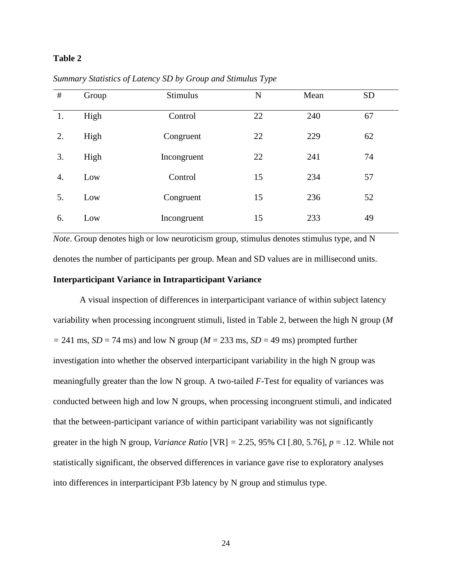# **Table 2**

| $\#$ | Group | <b>Stimulus</b> | N  | Mean | <b>SD</b> |
|------|-------|-----------------|----|------|-----------|
| 1.   | High  | Control         | 22 | 240  | 67        |
| 2.   | High  | Congruent       | 22 | 229  | 62        |
| 3.   | High  | Incongruent     | 22 | 241  | 74        |
| 4.   | Low   | Control         | 15 | 234  | 57        |
| 5.   | Low   | Congruent       | 15 | 236  | 52        |
| 6.   | Low   | Incongruent     | 15 | 233  | 49        |

*Summary Statistics of Latency SD by Group and Stimulus Type* 

*Note*. Group denotes high or low neuroticism group, stimulus denotes stimulus type, and N denotes the number of participants per group. Mean and SD values are in millisecond units. **Interparticipant Variance in Intraparticipant Variance**

A visual inspection of differences in interparticipant variance of within subject latency variability when processing incongruent stimuli, listed in Table 2, between the high N group (*M*   $=$  241 ms, *SD* = 74 ms) and low N group ( $M = 233$  ms, *SD* = 49 ms) prompted further investigation into whether the observed interparticipant variability in the high N group was meaningfully greater than the low N group. A two-tailed *F-*Test for equality of variances was conducted between high and low N groups, when processing incongruent stimuli, and indicated that the between-participant variance of within participant variability was not significantly greater in the high N group, *Variance Ratio*  $[VR] = 2.25, 95\%$  CI [.80, 5.76],  $p = .12$ . While not statistically significant, the observed differences in variance gave rise to exploratory analyses into differences in interparticipant P3b latency by N group and stimulus type.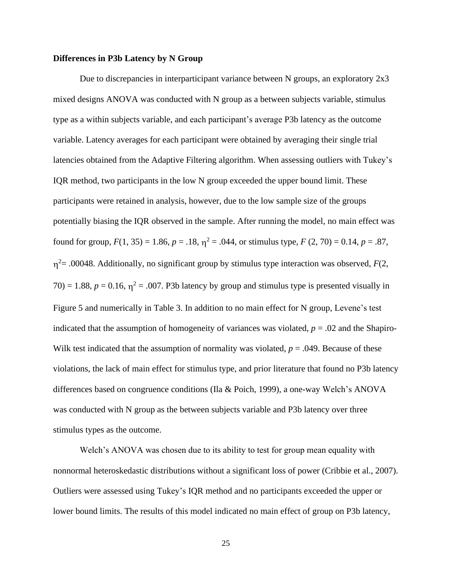## **Differences in P3b Latency by N Group**

Due to discrepancies in interparticipant variance between N groups, an exploratory 2x3 mixed designs ANOVA was conducted with N group as a between subjects variable, stimulus type as a within subjects variable, and each participant's average P3b latency as the outcome variable. Latency averages for each participant were obtained by averaging their single trial latencies obtained from the Adaptive Filtering algorithm. When assessing outliers with Tukey's IQR method, two participants in the low N group exceeded the upper bound limit. These participants were retained in analysis, however, due to the low sample size of the groups potentially biasing the IQR observed in the sample. After running the model, no main effect was found for group,  $F(1, 35) = 1.86$ ,  $p = .18$ ,  $\eta^2 = .044$ , or stimulus type,  $F(2, 70) = 0.14$ ,  $p = .87$ ,  $\eta^2$ = .00048. Additionally, no significant group by stimulus type interaction was observed, *F*(2,  $70$ ) = 1.88,  $p = 0.16$ ,  $\eta^2 = .007$ . P3b latency by group and stimulus type is presented visually in Figure 5 and numerically in Table 3. In addition to no main effect for N group, Levene's test indicated that the assumption of homogeneity of variances was violated,  $p = .02$  and the Shapiro-Wilk test indicated that the assumption of normality was violated,  $p = .049$ . Because of these violations, the lack of main effect for stimulus type, and prior literature that found no P3b latency differences based on congruence conditions (Ila & Poich, 1999), a one-way Welch's ANOVA was conducted with N group as the between subjects variable and P3b latency over three stimulus types as the outcome.

Welch's ANOVA was chosen due to its ability to test for group mean equality with nonnormal heteroskedastic distributions without a significant loss of power (Cribbie et al., 2007). Outliers were assessed using Tukey's IQR method and no participants exceeded the upper or lower bound limits. The results of this model indicated no main effect of group on P3b latency,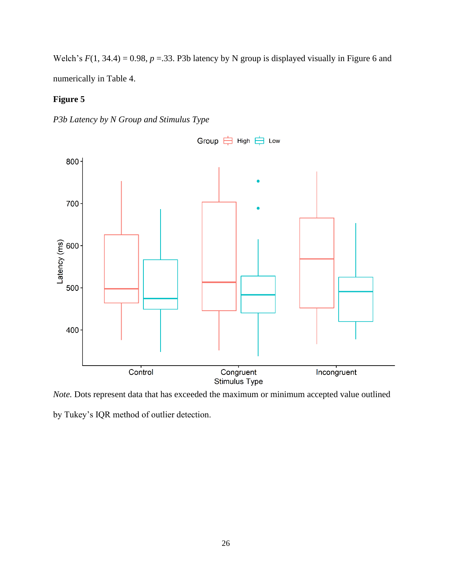Welch's  $F(1, 34.4) = 0.98$ ,  $p = 0.33$ . P3b latency by N group is displayed visually in Figure 6 and numerically in Table 4.

# **Figure 5**





*Note.* Dots represent data that has exceeded the maximum or minimum accepted value outlined

by Tukey's IQR method of outlier detection.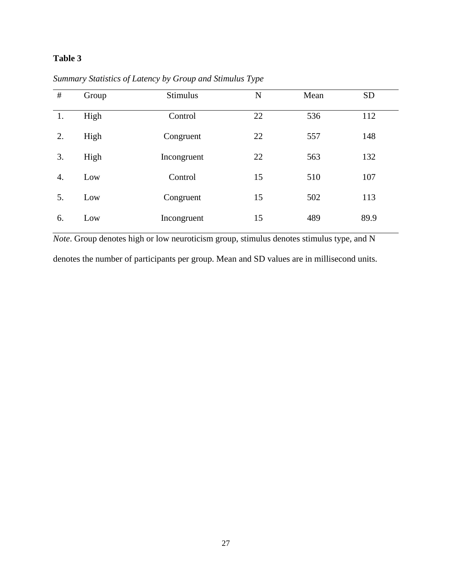# **Table 3**

| $\#$ | Group | <b>Stimulus</b> | N  | Mean | <b>SD</b> |
|------|-------|-----------------|----|------|-----------|
| 1.   | High  | Control         | 22 | 536  | 112       |
| 2.   | High  | Congruent       | 22 | 557  | 148       |
| 3.   | High  | Incongruent     | 22 | 563  | 132       |
| 4.   | Low   | Control         | 15 | 510  | 107       |
| 5.   | Low   | Congruent       | 15 | 502  | 113       |
| 6.   | Low   | Incongruent     | 15 | 489  | 89.9      |

*Summary Statistics of Latency by Group and Stimulus Type* 

*Note*. Group denotes high or low neuroticism group, stimulus denotes stimulus type, and N denotes the number of participants per group. Mean and SD values are in millisecond units.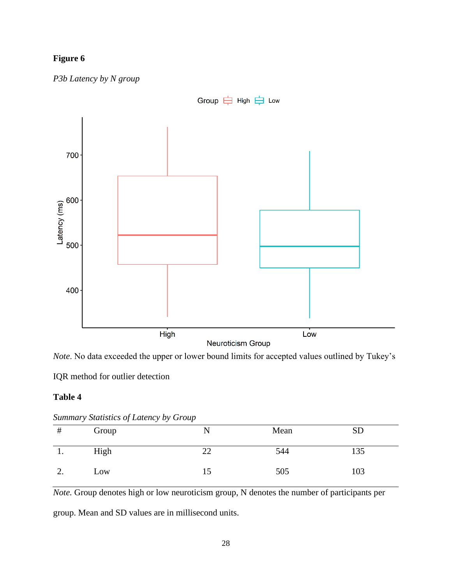# **Figure 6**



*P3b Latency by N group*

*Note*. No data exceeded the upper or lower bound limits for accepted values outlined by Tukey's

IQR method for outlier detection

# **Table 4**

| #  | burning sumbres of Latency by Group<br>Group | Mean | SD  |  |
|----|----------------------------------------------|------|-----|--|
|    | High                                         | 544  | 135 |  |
| ∠. | Low                                          | 505  | 103 |  |

*Summary Statistics of Latency by Group*

*Note.* Group denotes high or low neuroticism group, N denotes the number of participants per

group. Mean and SD values are in millisecond units.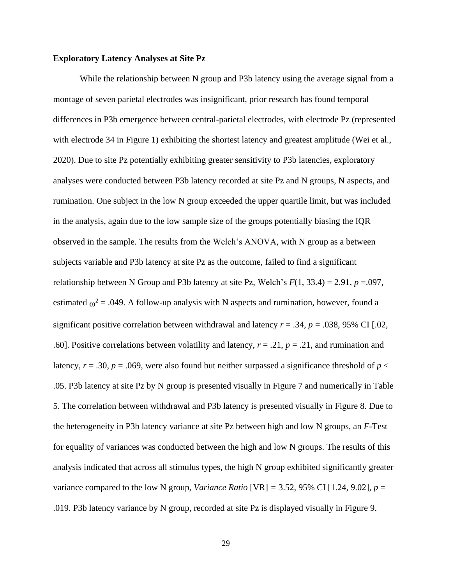# **Exploratory Latency Analyses at Site Pz**

While the relationship between N group and P3b latency using the average signal from a montage of seven parietal electrodes was insignificant, prior research has found temporal differences in P3b emergence between central-parietal electrodes, with electrode Pz (represented with electrode 34 in Figure 1) exhibiting the shortest latency and greatest amplitude (Wei et al., 2020). Due to site Pz potentially exhibiting greater sensitivity to P3b latencies, exploratory analyses were conducted between P3b latency recorded at site Pz and N groups, N aspects, and rumination. One subject in the low N group exceeded the upper quartile limit, but was included in the analysis, again due to the low sample size of the groups potentially biasing the IQR observed in the sample. The results from the Welch's ANOVA, with N group as a between subjects variable and P3b latency at site Pz as the outcome, failed to find a significant relationship between N Group and P3b latency at site Pz, Welch's  $F(1, 33.4) = 2.91$ ,  $p = .097$ , estimated  $\omega^2$  = .049. A follow-up analysis with N aspects and rumination, however, found a significant positive correlation between withdrawal and latency  $r = .34$ ,  $p = .038$ , 95% CI [.02, .60]. Positive correlations between volatility and latency, *r* = .21, *p* = .21, and rumination and latency,  $r = .30$ ,  $p = .069$ , were also found but neither surpassed a significance threshold of  $p <$ .05. P3b latency at site Pz by N group is presented visually in Figure 7 and numerically in Table 5. The correlation between withdrawal and P3b latency is presented visually in Figure 8. Due to the heterogeneity in P3b latency variance at site Pz between high and low N groups, an *F-*Test for equality of variances was conducted between the high and low N groups. The results of this analysis indicated that across all stimulus types, the high N group exhibited significantly greater variance compared to the low N group, *Variance Ratio* [VR] = 3.52, 95% CI [1.24, 9.02],  $p =$ .019. P3b latency variance by N group, recorded at site Pz is displayed visually in Figure 9.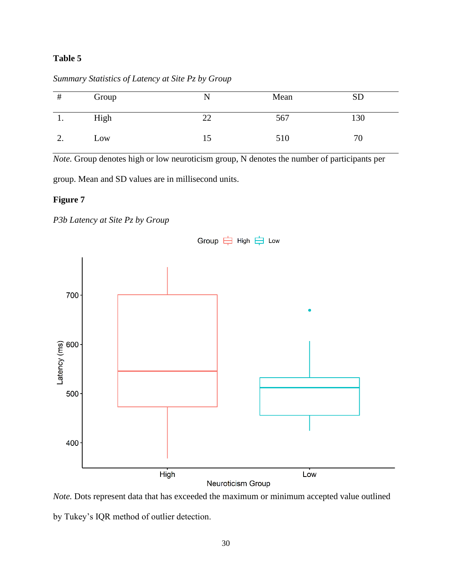# **Table 5**

| #        | Group | N  | Mean | <b>SD</b> |
|----------|-------|----|------|-----------|
| .,       | High  | 22 | 567  | 130       |
| <u>.</u> | Low   | 15 | 510  | 70        |

*Summary Statistics of Latency at Site Pz by Group*

*Note.* Group denotes high or low neuroticism group, N denotes the number of participants per

group. Mean and SD values are in millisecond units.

# **Figure 7**





*Note.* Dots represent data that has exceeded the maximum or minimum accepted value outlined by Tukey's IQR method of outlier detection.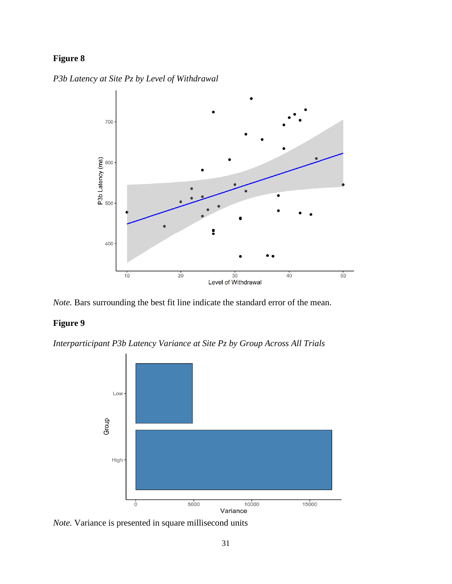# **Figure 8**

*P3b Latency at Site Pz by Level of Withdrawal* 



*Note.* Bars surrounding the best fit line indicate the standard error of the mean.

# **Figure 9**

*Interparticipant P3b Latency Variance at Site Pz by Group Across All Trials*



*Note.* Variance is presented in square millisecond units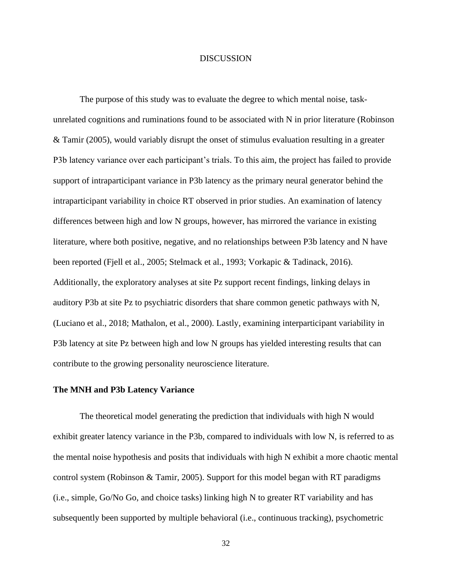# DISCUSSION

The purpose of this study was to evaluate the degree to which mental noise, taskunrelated cognitions and ruminations found to be associated with N in prior literature (Robinson & Tamir (2005), would variably disrupt the onset of stimulus evaluation resulting in a greater P3b latency variance over each participant's trials. To this aim, the project has failed to provide support of intraparticipant variance in P3b latency as the primary neural generator behind the intraparticipant variability in choice RT observed in prior studies. An examination of latency differences between high and low N groups, however, has mirrored the variance in existing literature, where both positive, negative, and no relationships between P3b latency and N have been reported (Fjell et al., 2005; Stelmack et al., 1993; Vorkapic & Tadinack, 2016). Additionally, the exploratory analyses at site Pz support recent findings, linking delays in auditory P3b at site Pz to psychiatric disorders that share common genetic pathways with N, (Luciano et al., 2018; Mathalon, et al., 2000). Lastly, examining interparticipant variability in P3b latency at site Pz between high and low N groups has yielded interesting results that can contribute to the growing personality neuroscience literature.

## **The MNH and P3b Latency Variance**

The theoretical model generating the prediction that individuals with high N would exhibit greater latency variance in the P3b, compared to individuals with low N, is referred to as the mental noise hypothesis and posits that individuals with high N exhibit a more chaotic mental control system (Robinson & Tamir, 2005). Support for this model began with RT paradigms (i.e., simple, Go/No Go, and choice tasks) linking high N to greater RT variability and has subsequently been supported by multiple behavioral (i.e., continuous tracking), psychometric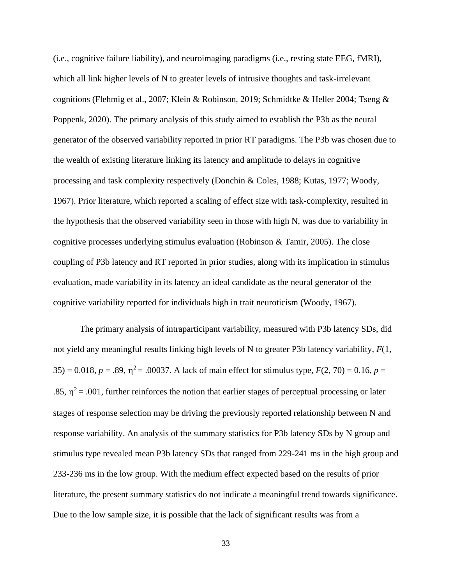(i.e., cognitive failure liability), and neuroimaging paradigms (i.e., resting state EEG, fMRI), which all link higher levels of N to greater levels of intrusive thoughts and task-irrelevant cognitions (Flehmig et al., 2007; Klein & Robinson, 2019; Schmidtke & Heller 2004; Tseng & Poppenk, 2020). The primary analysis of this study aimed to establish the P3b as the neural generator of the observed variability reported in prior RT paradigms. The P3b was chosen due to the wealth of existing literature linking its latency and amplitude to delays in cognitive processing and task complexity respectively (Donchin & Coles, 1988; Kutas, 1977; Woody, 1967). Prior literature, which reported a scaling of effect size with task-complexity, resulted in the hypothesis that the observed variability seen in those with high N, was due to variability in cognitive processes underlying stimulus evaluation (Robinson & Tamir, 2005). The close coupling of P3b latency and RT reported in prior studies, along with its implication in stimulus evaluation, made variability in its latency an ideal candidate as the neural generator of the cognitive variability reported for individuals high in trait neuroticism (Woody, 1967).

The primary analysis of intraparticipant variability, measured with P3b latency SDs, did not yield any meaningful results linking high levels of N to greater P3b latency variability, *F*(1, 35) = 0.018,  $p = .89$ ,  $\eta^2 = .00037$ . A lack of main effect for stimulus type,  $F(2, 70) = 0.16$ ,  $p =$ .85,  $\eta^2$  = .001, further reinforces the notion that earlier stages of perceptual processing or later stages of response selection may be driving the previously reported relationship between N and response variability. An analysis of the summary statistics for P3b latency SDs by N group and stimulus type revealed mean P3b latency SDs that ranged from 229-241 ms in the high group and 233-236 ms in the low group. With the medium effect expected based on the results of prior literature, the present summary statistics do not indicate a meaningful trend towards significance. Due to the low sample size, it is possible that the lack of significant results was from a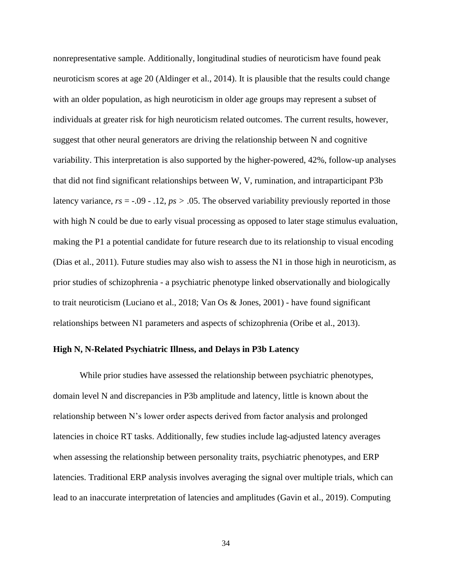nonrepresentative sample. Additionally, longitudinal studies of neuroticism have found peak neuroticism scores at age 20 (Aldinger et al., 2014). It is plausible that the results could change with an older population, as high neuroticism in older age groups may represent a subset of individuals at greater risk for high neuroticism related outcomes. The current results, however, suggest that other neural generators are driving the relationship between N and cognitive variability. This interpretation is also supported by the higher-powered, 42%, follow-up analyses that did not find significant relationships between W, V, rumination, and intraparticipant P3b latency variance, *rs* = -.09 - .12, *ps >* .05. The observed variability previously reported in those with high N could be due to early visual processing as opposed to later stage stimulus evaluation, making the P1 a potential candidate for future research due to its relationship to visual encoding (Dias et al., 2011). Future studies may also wish to assess the N1 in those high in neuroticism, as prior studies of schizophrenia - a psychiatric phenotype linked observationally and biologically to trait neuroticism (Luciano et al., 2018; Van Os & Jones, 2001) - have found significant relationships between N1 parameters and aspects of schizophrenia (Oribe et al., 2013).

# **High N, N-Related Psychiatric Illness, and Delays in P3b Latency**

While prior studies have assessed the relationship between psychiatric phenotypes, domain level N and discrepancies in P3b amplitude and latency, little is known about the relationship between N's lower order aspects derived from factor analysis and prolonged latencies in choice RT tasks. Additionally, few studies include lag-adjusted latency averages when assessing the relationship between personality traits, psychiatric phenotypes, and ERP latencies. Traditional ERP analysis involves averaging the signal over multiple trials, which can lead to an inaccurate interpretation of latencies and amplitudes (Gavin et al., 2019). Computing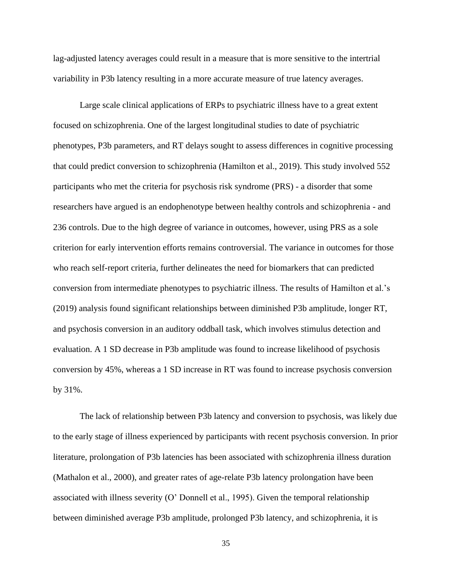lag-adjusted latency averages could result in a measure that is more sensitive to the intertrial variability in P3b latency resulting in a more accurate measure of true latency averages.

Large scale clinical applications of ERPs to psychiatric illness have to a great extent focused on schizophrenia. One of the largest longitudinal studies to date of psychiatric phenotypes, P3b parameters, and RT delays sought to assess differences in cognitive processing that could predict conversion to schizophrenia (Hamilton et al., 2019). This study involved 552 participants who met the criteria for psychosis risk syndrome (PRS) - a disorder that some researchers have argued is an endophenotype between healthy controls and schizophrenia - and 236 controls. Due to the high degree of variance in outcomes, however, using PRS as a sole criterion for early intervention efforts remains controversial. The variance in outcomes for those who reach self-report criteria, further delineates the need for biomarkers that can predicted conversion from intermediate phenotypes to psychiatric illness. The results of Hamilton et al.'s (2019) analysis found significant relationships between diminished P3b amplitude, longer RT, and psychosis conversion in an auditory oddball task, which involves stimulus detection and evaluation. A 1 SD decrease in P3b amplitude was found to increase likelihood of psychosis conversion by 45%, whereas a 1 SD increase in RT was found to increase psychosis conversion by 31%.

The lack of relationship between P3b latency and conversion to psychosis, was likely due to the early stage of illness experienced by participants with recent psychosis conversion. In prior literature, prolongation of P3b latencies has been associated with schizophrenia illness duration (Mathalon et al., 2000), and greater rates of age-relate P3b latency prolongation have been associated with illness severity (O' Donnell et al., 1995). Given the temporal relationship between diminished average P3b amplitude, prolonged P3b latency, and schizophrenia, it is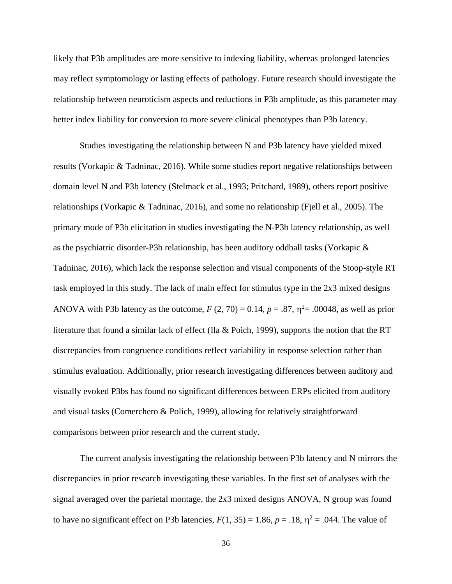likely that P3b amplitudes are more sensitive to indexing liability, whereas prolonged latencies may reflect symptomology or lasting effects of pathology. Future research should investigate the relationship between neuroticism aspects and reductions in P3b amplitude, as this parameter may better index liability for conversion to more severe clinical phenotypes than P3b latency.

Studies investigating the relationship between N and P3b latency have yielded mixed results (Vorkapic & Tadninac, 2016). While some studies report negative relationships between domain level N and P3b latency (Stelmack et al., 1993; Pritchard, 1989), others report positive relationships (Vorkapic & Tadninac, 2016), and some no relationship (Fjell et al., 2005). The primary mode of P3b elicitation in studies investigating the N-P3b latency relationship, as well as the psychiatric disorder-P3b relationship, has been auditory oddball tasks (Vorkapic & Tadninac, 2016), which lack the response selection and visual components of the Stoop-style RT task employed in this study. The lack of main effect for stimulus type in the 2x3 mixed designs ANOVA with P3b latency as the outcome,  $F(2, 70) = 0.14$ ,  $p = .87$ ,  $\eta^2 = .00048$ , as well as prior literature that found a similar lack of effect (Ila & Poich, 1999), supports the notion that the RT discrepancies from congruence conditions reflect variability in response selection rather than stimulus evaluation. Additionally, prior research investigating differences between auditory and visually evoked P3bs has found no significant differences between ERPs elicited from auditory and visual tasks (Comerchero & Polich, 1999), allowing for relatively straightforward comparisons between prior research and the current study.

The current analysis investigating the relationship between P3b latency and N mirrors the discrepancies in prior research investigating these variables. In the first set of analyses with the signal averaged over the parietal montage, the 2x3 mixed designs ANOVA, N group was found to have no significant effect on P3b latencies,  $F(1, 35) = 1.86$ ,  $p = .18$ ,  $\eta^2 = .044$ . The value of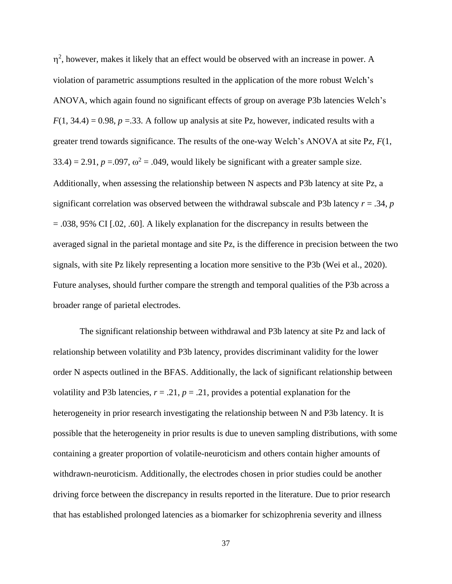$\eta^2$ , however, makes it likely that an effect would be observed with an increase in power. A violation of parametric assumptions resulted in the application of the more robust Welch's ANOVA, which again found no significant effects of group on average P3b latencies Welch's  $F(1, 34.4) = 0.98$ ,  $p = 0.33$ . A follow up analysis at site Pz, however, indicated results with a greater trend towards significance. The results of the one-way Welch's ANOVA at site Pz, *F*(1,  $33.4$ ) = 2.91,  $p = .097$ ,  $\omega^2 = .049$ , would likely be significant with a greater sample size. Additionally, when assessing the relationship between N aspects and P3b latency at site Pz, a significant correlation was observed between the withdrawal subscale and P3b latency  $r = .34$ ,  $p$ = .038, 95% CI [.02, .60]. A likely explanation for the discrepancy in results between the averaged signal in the parietal montage and site Pz, is the difference in precision between the two signals, with site Pz likely representing a location more sensitive to the P3b (Wei et al., 2020). Future analyses, should further compare the strength and temporal qualities of the P3b across a broader range of parietal electrodes.

The significant relationship between withdrawal and P3b latency at site Pz and lack of relationship between volatility and P3b latency, provides discriminant validity for the lower order N aspects outlined in the BFAS. Additionally, the lack of significant relationship between volatility and P3b latencies,  $r = .21$ ,  $p = .21$ , provides a potential explanation for the heterogeneity in prior research investigating the relationship between N and P3b latency. It is possible that the heterogeneity in prior results is due to uneven sampling distributions, with some containing a greater proportion of volatile-neuroticism and others contain higher amounts of withdrawn-neuroticism. Additionally, the electrodes chosen in prior studies could be another driving force between the discrepancy in results reported in the literature. Due to prior research that has established prolonged latencies as a biomarker for schizophrenia severity and illness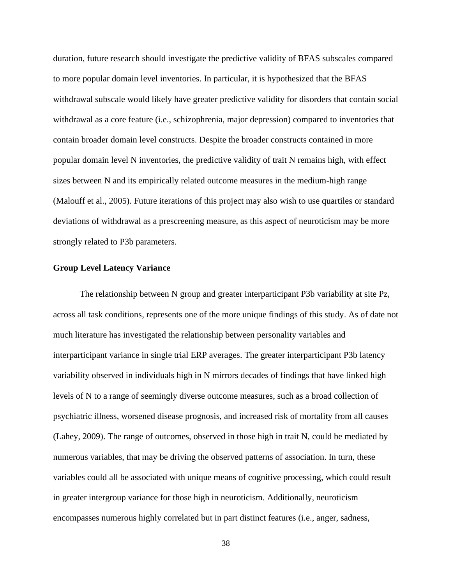duration, future research should investigate the predictive validity of BFAS subscales compared to more popular domain level inventories. In particular, it is hypothesized that the BFAS withdrawal subscale would likely have greater predictive validity for disorders that contain social withdrawal as a core feature (i.e., schizophrenia, major depression) compared to inventories that contain broader domain level constructs. Despite the broader constructs contained in more popular domain level N inventories, the predictive validity of trait N remains high, with effect sizes between N and its empirically related outcome measures in the medium-high range (Malouff et al., 2005). Future iterations of this project may also wish to use quartiles or standard deviations of withdrawal as a prescreening measure, as this aspect of neuroticism may be more strongly related to P3b parameters.

# **Group Level Latency Variance**

The relationship between N group and greater interparticipant P3b variability at site Pz, across all task conditions, represents one of the more unique findings of this study. As of date not much literature has investigated the relationship between personality variables and interparticipant variance in single trial ERP averages. The greater interparticipant P3b latency variability observed in individuals high in N mirrors decades of findings that have linked high levels of N to a range of seemingly diverse outcome measures, such as a broad collection of psychiatric illness, worsened disease prognosis, and increased risk of mortality from all causes (Lahey, 2009). The range of outcomes, observed in those high in trait N, could be mediated by numerous variables, that may be driving the observed patterns of association. In turn, these variables could all be associated with unique means of cognitive processing, which could result in greater intergroup variance for those high in neuroticism. Additionally, neuroticism encompasses numerous highly correlated but in part distinct features (i.e., anger, sadness,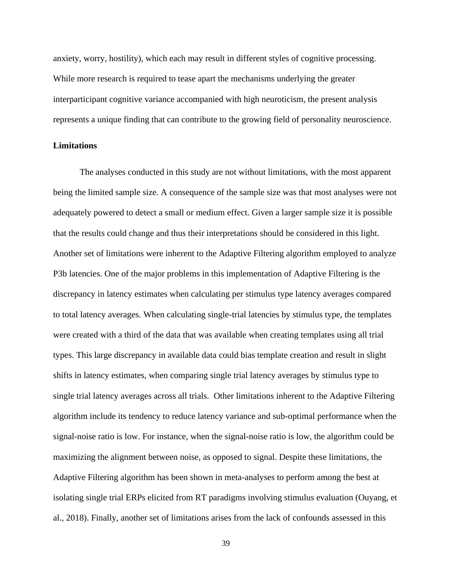anxiety, worry, hostility), which each may result in different styles of cognitive processing. While more research is required to tease apart the mechanisms underlying the greater interparticipant cognitive variance accompanied with high neuroticism, the present analysis represents a unique finding that can contribute to the growing field of personality neuroscience.

# **Limitations**

The analyses conducted in this study are not without limitations, with the most apparent being the limited sample size. A consequence of the sample size was that most analyses were not adequately powered to detect a small or medium effect. Given a larger sample size it is possible that the results could change and thus their interpretations should be considered in this light. Another set of limitations were inherent to the Adaptive Filtering algorithm employed to analyze P3b latencies. One of the major problems in this implementation of Adaptive Filtering is the discrepancy in latency estimates when calculating per stimulus type latency averages compared to total latency averages. When calculating single-trial latencies by stimulus type, the templates were created with a third of the data that was available when creating templates using all trial types. This large discrepancy in available data could bias template creation and result in slight shifts in latency estimates, when comparing single trial latency averages by stimulus type to single trial latency averages across all trials. Other limitations inherent to the Adaptive Filtering algorithm include its tendency to reduce latency variance and sub-optimal performance when the signal-noise ratio is low. For instance, when the signal-noise ratio is low, the algorithm could be maximizing the alignment between noise, as opposed to signal. Despite these limitations, the Adaptive Filtering algorithm has been shown in meta-analyses to perform among the best at isolating single trial ERPs elicited from RT paradigms involving stimulus evaluation (Ouyang, et al., 2018). Finally, another set of limitations arises from the lack of confounds assessed in this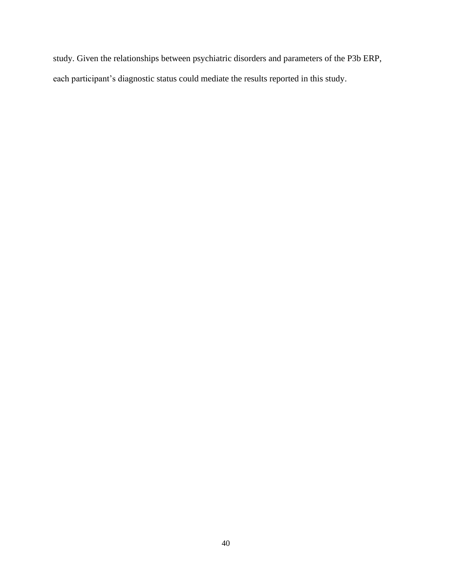study. Given the relationships between psychiatric disorders and parameters of the P3b ERP, each participant's diagnostic status could mediate the results reported in this study.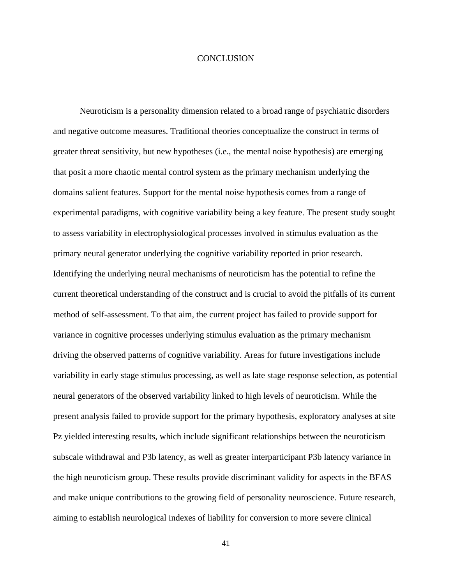# **CONCLUSION**

Neuroticism is a personality dimension related to a broad range of psychiatric disorders and negative outcome measures. Traditional theories conceptualize the construct in terms of greater threat sensitivity, but new hypotheses (i.e., the mental noise hypothesis) are emerging that posit a more chaotic mental control system as the primary mechanism underlying the domains salient features. Support for the mental noise hypothesis comes from a range of experimental paradigms, with cognitive variability being a key feature. The present study sought to assess variability in electrophysiological processes involved in stimulus evaluation as the primary neural generator underlying the cognitive variability reported in prior research. Identifying the underlying neural mechanisms of neuroticism has the potential to refine the current theoretical understanding of the construct and is crucial to avoid the pitfalls of its current method of self-assessment. To that aim, the current project has failed to provide support for variance in cognitive processes underlying stimulus evaluation as the primary mechanism driving the observed patterns of cognitive variability. Areas for future investigations include variability in early stage stimulus processing, as well as late stage response selection, as potential neural generators of the observed variability linked to high levels of neuroticism. While the present analysis failed to provide support for the primary hypothesis, exploratory analyses at site Pz yielded interesting results, which include significant relationships between the neuroticism subscale withdrawal and P3b latency, as well as greater interparticipant P3b latency variance in the high neuroticism group. These results provide discriminant validity for aspects in the BFAS and make unique contributions to the growing field of personality neuroscience. Future research, aiming to establish neurological indexes of liability for conversion to more severe clinical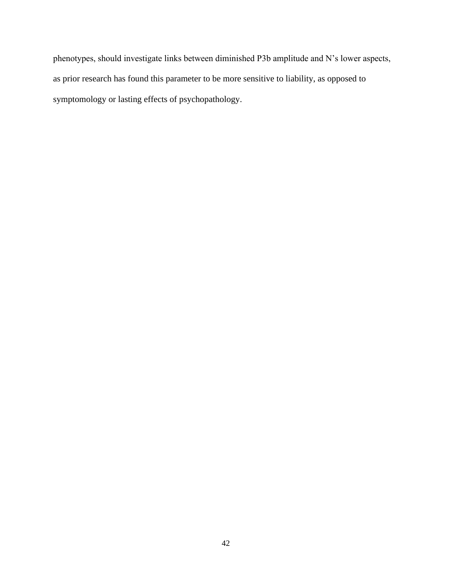phenotypes, should investigate links between diminished P3b amplitude and N's lower aspects, as prior research has found this parameter to be more sensitive to liability, as opposed to symptomology or lasting effects of psychopathology.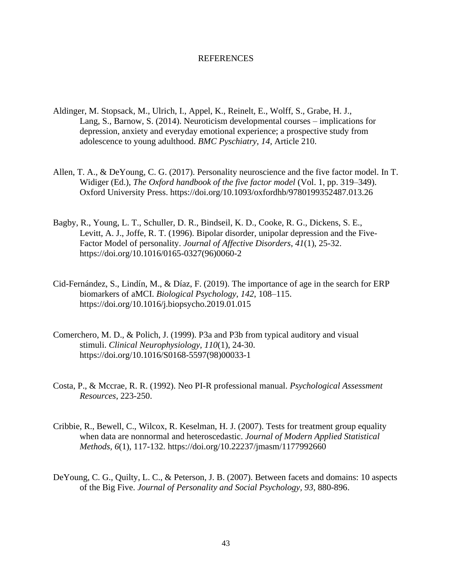#### REFERENCES

- Aldinger, M. Stopsack, M., Ulrich, I., Appel, K., Reinelt, E., Wolff, S., Grabe, H. J., Lang, S., Barnow, S. (2014). Neuroticism developmental courses – implications for depression, anxiety and everyday emotional experience; a prospective study from adolescence to young adulthood. *BMC Pyschiatry, 14,* Article 210.
- Allen, T. A., & DeYoung, C. G. (2017). Personality neuroscience and the five factor model. In T. Widiger (Ed.), *The Oxford handbook of the five factor model* (Vol. 1, pp. 319–349). Oxford University Press.<https://doi.org/10.1093/oxfordhb/9780199352487.013.26>
- Bagby, R., Young, L. T., Schuller, D. R., Bindseil, K. D., Cooke, R. G., Dickens, S. E., Levitt, A. J., Joffe, R. T. (1996). Bipolar disorder, unipolar depression and the Five-Factor Model of personality. *Journal of Affective Disorders*, *41*(1), 25-32. [https://doi.org/10.1016/0165-0327\(96\)0060-2](https://doi.org/10.1016/0165-0327(96)0060-2)
- Cid-Fernández, S., Lindín, M., & Díaz, F. (2019). The importance of age in the search for ERP biomarkers of aMCI. *Biological Psychology*, *142*, 108–115. <https://doi.org/10.1016/j.biopsycho.2019.01.015>
- Comerchero, M. D., & Polich, J. (1999). P3a and P3b from typical auditory and visual stimuli. *Clinical Neurophysiology, 110*(1), 24-30. https://doi.org/10.1016/S0168-5597(98)00033-1
- Costa, P., & Mccrae, R. R. (1992). Neo PI-R professional manual. *Psychological Assessment Resources*, 223-250.
- Cribbie, R., Bewell, C., Wilcox, R. Keselman, H. J. (2007). Tests for treatment group equality when data are nonnormal and heteroscedastic. *Journal of Modern Applied Statistical Methods, 6*(1), 117-132. https://doi.org/10.22237/jmasm/1177992660
- DeYoung, C. G., Quilty, L. C., & Peterson, J. B. (2007). Between facets and domains: 10 aspects of the Big Five. *Journal of Personality and Social Psychology, 93,* 880-896.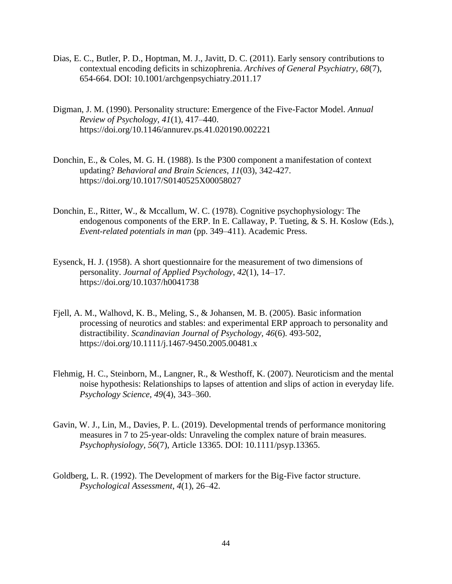- Dias, E. C., Butler, P. D., Hoptman, M. J., Javitt, D. C. (2011). Early sensory contributions to contextual encoding deficits in schizophrenia. *Archives of General Psychiatry, 68*(7), 654-664. DOI: 10.1001/archgenpsychiatry.2011.17
- Digman, J. M. (1990). Personality structure: Emergence of the Five-Factor Model. *Annual Review of Psychology*, *41*(1), 417–440. <https://doi.org/10.1146/annurev.ps.41.020190.002221>
- Donchin, E., & Coles, M. G. H. (1988). Is the P300 component a manifestation of context updating? *Behavioral and Brain Sciences*, *11*(03), 342-427. <https://doi.org/10.1017/S0140525X00058027>
- Donchin, E., Ritter, W., & Mccallum, W. C. (1978). Cognitive psychophysiology: The endogenous components of the ERP. In E. Callaway, P. Tueting, & S. H. Koslow (Eds.), *Event-related potentials in man* (pp. 349–411). Academic Press.
- Eysenck, H. J. (1958). A short questionnaire for the measurement of two dimensions of personality. *Journal of Applied Psychology*, *42*(1), 14–17. <https://doi.org/10.1037/h0041738>
- Fjell, A. M., Walhovd, K. B., Meling, S., & Johansen, M. B. (2005). Basic information processing of neurotics and stables: and experimental ERP approach to personality and distractibility. *Scandinavian Journal of Psychology, 46*(6). 493-502, https://doi.org/10.1111/j.1467-9450.2005.00481.x
- Flehmig, H. C., Steinborn, M., Langner, R., & Westhoff, K. (2007). Neuroticism and the mental noise hypothesis: Relationships to lapses of attention and slips of action in everyday life. *Psychology Science*, *49*(4), 343–360.
- Gavin, W. J., Lin, M., Davies, P. L. (2019). Developmental trends of performance monitoring measures in 7 to 25-year-olds: Unraveling the complex nature of brain measures. *Psychophysiology, 56*(7), Article 13365. DOI: 10.1111/psyp.13365.
- Goldberg, L. R. (1992). The Development of markers for the Big-Five factor structure. *Psychological Assessment*, *4*(1), 26–42.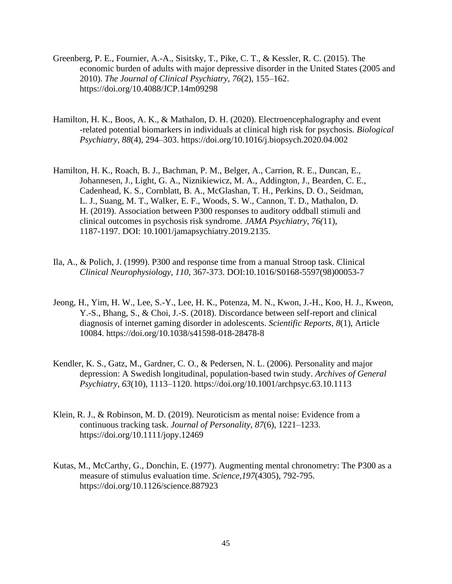- Greenberg, P. E., Fournier, A.-A., Sisitsky, T., Pike, C. T., & Kessler, R. C. (2015). The economic burden of adults with major depressive disorder in the United States (2005 and 2010). *The Journal of Clinical Psychiatry*, *76*(2), 155–162. <https://doi.org/10.4088/JCP.14m09298>
- Hamilton, H. K., Boos, A. K., & Mathalon, D. H. (2020). Electroencephalography and event -related potential biomarkers in individuals at clinical high risk for psychosis. *Biological Psychiatry*, *88*(4), 294–303.<https://doi.org/10.1016/j.biopsych.2020.04.002>
- Hamilton, H. K., Roach, B. J., Bachman, P. M., Belger, A., Carrion, R. E., Duncan, E., Johannesen, J., Light, G. A., Niznikiewicz, M. A., Addington, J., Bearden, C. E., Cadenhead, K. S., Cornblatt, B. A., McGlashan, T. H., Perkins, D. O., Seidman, L. J., Suang, M. T., Walker, E. F., Woods, S. W., Cannon, T. D., Mathalon, D. H. (2019). Association between P300 responses to auditory oddball stimuli and clinical outcomes in psychosis risk syndrome*. JAMA Psychiatry, 76(*11), 1187-1197. DOI: 10.1001/jamapsychiatry.2019.2135.
- Ila, A., & Polich, J. (1999). P300 and response time from a manual Stroop task. Clinical *Clinical Neurophysiology, 110,* 367-373. DOI:10.1016/S0168-5597(98)00053-7
- Jeong, H., Yim, H. W., Lee, S.-Y., Lee, H. K., Potenza, M. N., Kwon, J.-H., Koo, H. J., Kweon, Y.-S., Bhang, S., & Choi, J.-S. (2018). Discordance between self-report and clinical diagnosis of internet gaming disorder in adolescents. *Scientific Reports*, *8*(1), Article 10084.<https://doi.org/10.1038/s41598-018-28478-8>
- Kendler, K. S., Gatz, M., Gardner, C. O., & Pedersen, N. L. (2006). Personality and major depression: A Swedish longitudinal, population-based twin study. *Archives of General Psychiatry*, *63*(10), 1113–1120.<https://doi.org/10.1001/archpsyc.63.10.1113>
- Klein, R. J., & Robinson, M. D. (2019). Neuroticism as mental noise: Evidence from a continuous tracking task. *Journal of Personality*, *87*(6), 1221–1233. <https://doi.org/10.1111/jopy.12469>
- Kutas, M., McCarthy, G., Donchin, E. (1977). Augmenting mental chronometry: The P300 as a measure of stimulus evaluation time. *Science,197*(4305), 792-795. <https://doi.org/10.1126/science.887923>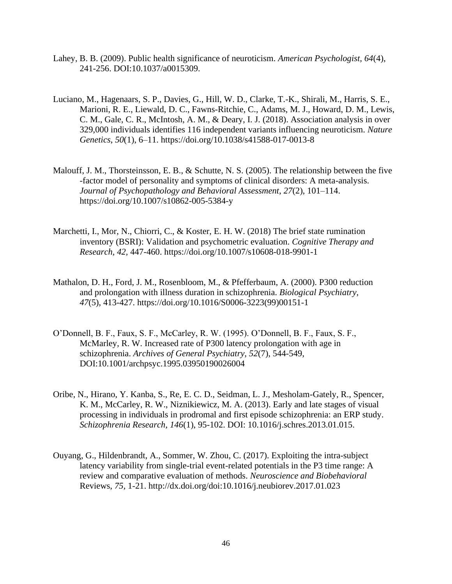- Lahey, B. B. (2009). Public health significance of neuroticism. *American Psychologist, 64*(4), 241-256. DOI:10.1037/a0015309.
- Luciano, M., Hagenaars, S. P., Davies, G., Hill, W. D., Clarke, T.-K., Shirali, M., Harris, S. E., Marioni, R. E., Liewald, D. C., Fawns-Ritchie, C., Adams, M. J., Howard, D. M., Lewis, C. M., Gale, C. R., McIntosh, A. M., & Deary, I. J. (2018). Association analysis in over 329,000 individuals identifies 116 independent variants influencing neuroticism. *Nature Genetics*, *50*(1), 6–11. <https://doi.org/10.1038/s41588-017-0013-8>
- Malouff, J. M., Thorsteinsson, E. B., & Schutte, N. S. (2005). The relationship between the five -factor model of personality and symptoms of clinical disorders: A meta-analysis. *Journal of Psychopathology and Behavioral Assessment*, *27*(2), 101–114. <https://doi.org/10.1007/s10862-005-5384-y>
- Marchetti, I., Mor, N., Chiorri, C., & Koster, E. H. W. (2018) The brief state rumination inventory (BSRI): Validation and psychometric evaluation. *Cognitive Therapy and Research, 42,* 447-460.<https://doi.org/10.1007/s10608-018-9901-1>
- Mathalon, D. H., Ford, J. M., Rosenbloom, M., & Pfefferbaum, A. (2000). P300 reduction and prolongation with illness duration in schizophrenia. *Biological Psychiatry, 47*(5), 413-427. [https://doi.org/10.1016/S0006-3223\(99\)00151-1](https://doi.org/10.1016/S0006-3223(99)00151-1)
- O'Donnell, B. F., Faux, S. F., McCarley, R. W. (1995). O'Donnell, B. F., Faux, S. F., McMarley, R. W. Increased rate of P300 latency prolongation with age in schizophrenia. *Archives of General Psychiatry, 52*(7), 544-549, DOI:10.1001/archpsyc.1995.03950190026004
- Oribe, N., Hirano, Y. Kanba, S., Re, E. C. D., Seidman, L. J., Mesholam-Gately, R., Spencer, K. M., McCarley, R. W., Niznikiewicz, M. A. (2013). Early and late stages of visual processing in individuals in prodromal and first episode schizophrenia: an ERP study. *Schizophrenia Research, 146*(1), 95-102. DOI: 10.1016/j.schres.2013.01.015.
- Ouyang, G., Hildenbrandt, A., Sommer, W. Zhou, C. (2017). Exploiting the intra-subject latency variability from single-trial event-related potentials in the P3 time range: A review and comparative evaluation of methods. *Neuroscience and Biobehavioral* Reviews, *75,* 1-21. http://dx.doi.org/doi:10.1016/j.neubiorev.2017.01.023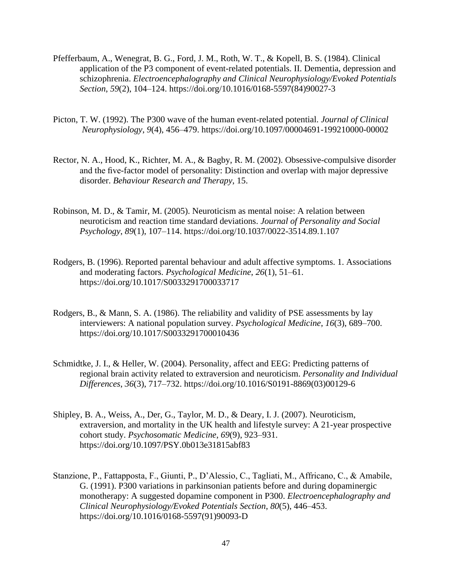- Pfefferbaum, A., Wenegrat, B. G., Ford, J. M., Roth, W. T., & Kopell, B. S. (1984). Clinical application of the P3 component of event-related potentials. II. Dementia, depression and schizophrenia. *Electroencephalography and Clinical Neurophysiology/Evoked Potentials Section*, *59*(2), 104–124. [https://doi.org/10.1016/0168-5597\(84\)90027-3](https://doi.org/10.1016/0168-5597(84)90027-3)
- Picton, T. W. (1992). The P300 wave of the human event-related potential. *Journal of Clinical Neurophysiology*, *9*(4), 456–479.<https://doi.org/10.1097/00004691-199210000-00002>
- Rector, N. A., Hood, K., Richter, M. A., & Bagby, R. M. (2002). Obsessive-compulsive disorder and the five-factor model of personality: Distinction and overlap with major depressive disorder. *Behaviour Research and Therapy*, 15.
- Robinson, M. D., & Tamir, M. (2005). Neuroticism as mental noise: A relation between neuroticism and reaction time standard deviations. *Journal of Personality and Social Psychology*, *89*(1), 107–114. <https://doi.org/10.1037/0022-3514.89.1.107>
- Rodgers, B. (1996). Reported parental behaviour and adult affective symptoms. 1. Associations and moderating factors. *Psychological Medicine*, *26*(1), 51–61. <https://doi.org/10.1017/S0033291700033717>
- Rodgers, B., & Mann, S. A. (1986). The reliability and validity of PSE assessments by lay interviewers: A national population survey. *Psychological Medicine*, *16*(3), 689–700. <https://doi.org/10.1017/S0033291700010436>
- Schmidtke, J. I., & Heller, W. (2004). Personality, affect and EEG: Predicting patterns of regional brain activity related to extraversion and neuroticism. *Personality and Individual Differences*, *36*(3), 717–732. [https://doi.org/10.1016/S0191-8869\(03\)00129-6](https://doi.org/10.1016/S0191-8869(03)00129-6)
- Shipley, B. A., Weiss, A., Der, G., Taylor, M. D., & Deary, I. J. (2007). Neuroticism, extraversion, and mortality in the UK health and lifestyle survey: A 21-year prospective cohort study. *Psychosomatic Medicine*, *69*(9), 923–931. <https://doi.org/10.1097/PSY.0b013e31815abf83>
- Stanzione, P., Fattapposta, F., Giunti, P., D'Alessio, C., Tagliati, M., Affricano, C., & Amabile, G. (1991). P300 variations in parkinsonian patients before and during dopaminergic monotherapy: A suggested dopamine component in P300. *Electroencephalography and Clinical Neurophysiology/Evoked Potentials Section*, *80*(5), 446–453. [https://doi.org/10.1016/0168-5597\(91\)90093-D](https://doi.org/10.1016/0168-5597(91)90093-D)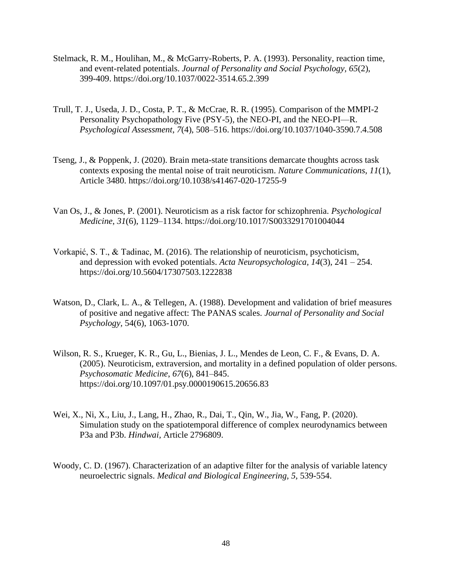- Stelmack, R. M., Houlihan, M., & McGarry-Roberts, P. A. (1993). Personality, reaction time, and event-related potentials. *Journal of Personality and Social Psychology, 65*(2), 399-409.<https://doi.org/10.1037/0022-3514.65.2.399>
- Trull, T. J., Useda, J. D., Costa, P. T., & McCrae, R. R. (1995). Comparison of the MMPI-2 Personality Psychopathology Five (PSY-5), the NEO-PI, and the NEO-PI—R. *Psychological Assessment*, *7*(4), 508–516.<https://doi.org/10.1037/1040-3590.7.4.508>
- Tseng, J., & Poppenk, J. (2020). Brain meta-state transitions demarcate thoughts across task contexts exposing the mental noise of trait neuroticism. *Nature Communications*, *11*(1), Article 3480.<https://doi.org/10.1038/s41467-020-17255-9>
- Van Os, J., & Jones, P. (2001). Neuroticism as a risk factor for schizophrenia. *Psychological Medicine*, *31*(6), 1129–1134. <https://doi.org/10.1017/S0033291701004044>
- Vorkapić, S. T., & Tadinac, M. (2016). The relationship of neuroticism, psychoticism, and depression with evoked potentials. *Acta Neuropsychologica, 14*(3), 241 – 254. https://doi.org/10.5604/17307503.1222838
- Watson, D., Clark, L. A., & Tellegen, A. (1988). Development and validation of brief measures of positive and negative affect: The PANAS scales. *Journal of Personality and Social Psychology,* 54(6), 1063-1070.
- Wilson, R. S., Krueger, K. R., Gu, L., Bienias, J. L., Mendes de Leon, C. F., & Evans, D. A. (2005). Neuroticism, extraversion, and mortality in a defined population of older persons. *Psychosomatic Medicine*, *67*(6), 841–845. <https://doi.org/10.1097/01.psy.0000190615.20656.83>
- Wei, X., Ni, X., Liu, J., Lang, H., Zhao, R., Dai, T., Qin, W., Jia, W., Fang, P. (2020). Simulation study on the spatiotemporal difference of complex neurodynamics between P3a and P3b. *Hindwai,* Article 2796809.
- Woody, C. D. (1967). Characterization of an adaptive filter for the analysis of variable latency neuroelectric signals. *Medical and Biological Engineering, 5,* 539-554.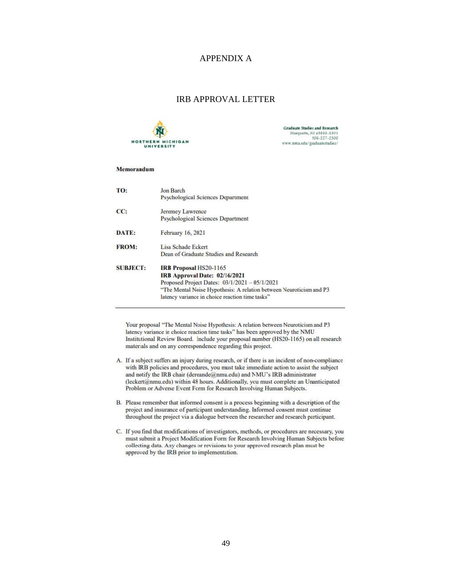### APPENDIX A

#### IRB APPROVAL LETTER



**Graduate Studies and Research** Marquette, MI 49855-5301 906-227-2300 www.nmu.edu/graduatertudies/

#### Memorandum

| TO:             | <b>Jon Barch</b>                                                    |
|-----------------|---------------------------------------------------------------------|
|                 | Psychological Sciences Department                                   |
| CC:             | Jeremey Lawrence                                                    |
|                 | Psychological Sciences Department                                   |
| DATE:           | February 16, 2021                                                   |
| <b>FROM:</b>    | Lisa Schade Eckert                                                  |
|                 | Dean of Graduate Studies and Research                               |
| <b>SUBJECT:</b> | <b>IRB Proposal HS20-1165</b>                                       |
|                 | IRB Approval Date: 02/16/2021                                       |
|                 | Proposed Project Dates: $03/1/2021 - 05/1/2021$                     |
|                 | "The Mental Noise Hypothesis: A relation between Neuroticism and P3 |
|                 | latency variance in choice reaction time tasks"                     |

Your proposal "The Mental Noise Hypothesis: A relation between Neuroticism and P3 latency variance in choice reaction time tasks" has been approved by the NMU Institutional Review Board. Include your proposal number (HS20-1165) on all research materials and on any correspondence regarding this project.

- A. If a subject suffers an injury during research, or if there is an incident of non-compliance with IRB policies and procedures, you must take immediate action to assist the subject and notify the IRB chair (dereande@nmu.edu) and NMU's IRB administrator (leckert@nmu.edu) within 48 hours. Additionally, you must complete an Unanticipated Problem or Adverse Event Form for Research Involving Human Subjects.
- B. Please remember that informed consent is a process beginning with a description of the project and insurance of participant understanding. Informed consent must continue throughout the project via a dialogue between the researcher and research participant.
- C. If you find that modifications of investigators, methods, or procedures are necessary, you must submit a Project Modification Form for Research Involving Human Subjects before collecting data. Any changes or revisions to your approved research plan must be approved by the IRB prior to implementation.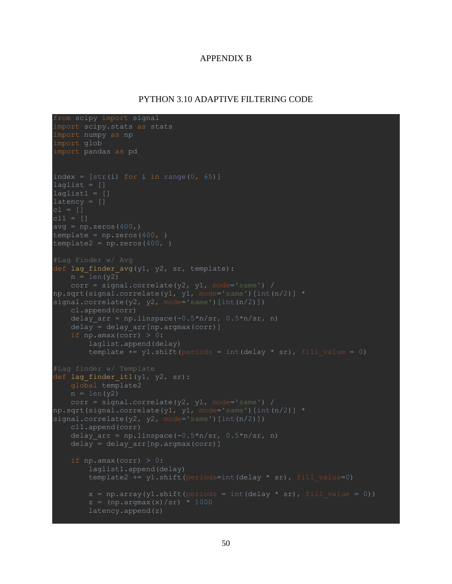### APPENDIX B

### PYTHON 3.10 ADAPTIVE FILTERING CODE

```
from scipy import signal
import scipy.stats as stats
import numpy as np
import glob
import pandas as pd
index = [str(i) for i in range(0, 65)]laglist = []laglist1 = []latercy = []avg = np{\cdot}zeros(400, )template = np{\cdot}zeros(400, )template2 = np{\text{.}zeros}(400, )def lag finder avg(y1, y2, sr, template):
    n = len(y2)corr = signal.correlate(y2, y1, mode='same') /
np.sqrt(signal.correlate(y1, y1, mode='same')[int(n/2)] *signal.correlate(\sqrt{2}, \sqrt{2}, mode='same')[int(n/2)])
     cl.append(corr)
    delay arr = npu1inspace(-0.5*n/sr, 0.5*n/sr, n)
     delay = delay_arr[np.argmax(corr)]
    if np.amax(corr) > 0:
        laglist.append(delay)
        template += y1.shift(periods = int(delay * sr), fill value = 0)
def lag finder it1(y1, y2, sr): global template2
    n = len(y2)corr = signal.correlate(y2, y1, mode='same')np.sqrt(signal.correlate(y1, y1, mode='same')[int(n/2)] * 
signal.correlate(y2, y2, mode='same')[int(n/2)])
     cl1.append(corr)
    delay arr = npu1inspace(-0.5*n/sr, 0.5*n/sr, n)
    delay = delay arr[np.argmax(corr)]
    if np.amax(corr) > 0:
        laglist1.append(delay)
        template2 += y1.shift(periods=int(delay * sr), fill value=0)
        x = np.array(y1.shift(periods = int(delay * sr), fill value = 0))z = (np.argmax(x)/sr) * 1000 latency.append(z)
```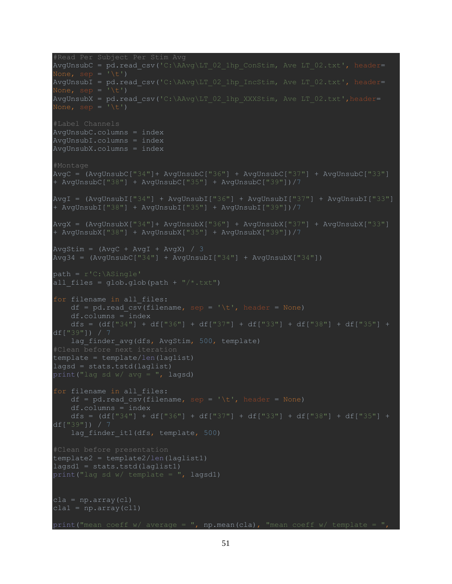```
AvgUnsubC = pd.read csv('C:\AAvg\LT 02_1hp ConStim, Ave LT 02.txt', header=
AvgUnsubI = pd.read csv('C:\AAvg\LT_02_1hp_IncStim, Ave LT_02.txt', header=
None, sep = '\t')
AvgUnsubX = pd.read csv('C:\AAvg\LT 02_1hp XXXStim, Ave LT 02.txt',header=#Label Channels
AvgUnsubC.columns = index
AvgUnsubI.columns = index
AvgUnsubX.columns = index
#Montage
AvgC = (AvgUnsubC["34"]+ AvgUnsubC["36"] + AvgUnsubC["37"] + AvgUnsubC["33"] 
+ AvgUnsubC["38"] + AvgUnsubC["35"] + AvgUnsubC["39"])/7
AvgI = (AvgUnsubI["34"] + AvgUnsubI["36"] + AvgUnsubI["37"] + AvgUnsubI["33"] 
+ AvgUnsubI["38"] + AvgUnsubI["35"] + AvgUnsubI["39"])/7
AvgX = (AvgUnsubX["34"]+ AvgUnsubX["36"] + AvgUnsubX["37"] + AvgUnsubX["33"] 
+ AvgUnsubX["38"] + AvgUnsubX["35"] + AvgUnsubX["39"])/7
AvgStim = (AvgC + AvgI + AvgX) / 3
Avg34 = (AvgUnsubC["34"] + AvgUnsubI["34"] + AvgUnsubX["34"])
path = r'C: \Delta Single'all files = glob.glob(path + "/*.txt")
for filename in all files:
    df = pd.read.csv(filename, sep = '\t', header = None) df.columns = index
    dfs = (df["34"] + df["36"] + df["37"] + df["33"] + df["38"] + df["38"] + df["35"] +df["39"]) / 7
    lag finder avg(dfs, AvgStim, 500, template)
template = template/len(laglist)
lagsd = stats.tstd(laglist)
print ("lag sd w/ avg = ", lagsd)
for filename in all_files:
    df = pd.read.csv(filename, sep = '\t', header = None) df.columns = index
     dfs = (df["34"] + df["36"] + df["37"] + df["33"] + df["38"] + df["35"] + 
df["39"]) / 7
    lag finder it1(dfs, template, 500)
template2 = template2/len(laglist1)lagsd1 = stats.tstd(laglist1)print("lag sd w/ template = ", lagsd1)
cla = np.array(cl)clal = np. array (cl1)
print("mean coeff w/ average = ", np.mean(cla), "mean coeff w/ template =
```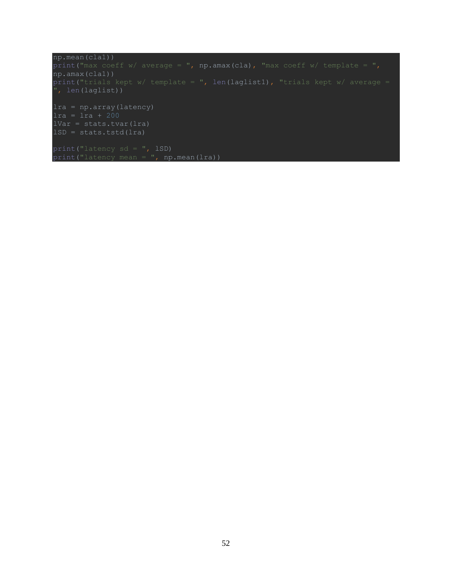```
np.mean(cla1))
print("max coeff w/ average = ", np.amax(cla), "max coeff w/ template = ",
np.amax(cla1))
print("trials kept w/ template = ", len(laglist1), "trials kept w/ average = 
", len(laglist))
lra = np.array(latency)
lra = lra + 200
lVar = stats.tvar(lra)
lSD = stats.tstd(lra)
print("latency sd = ", lSD)
\overline{p}rint("latency mean = ", np.mean(lra))
```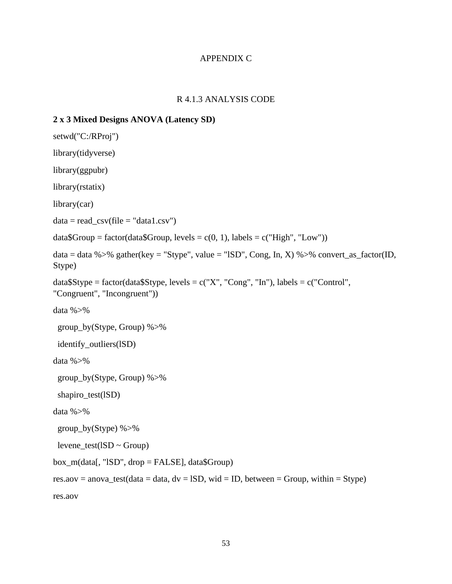# APPENDIX C

# R 4.1.3 ANALYSIS CODE

# **2 x 3 Mixed Designs ANOVA (Latency SD)**

```
setwd("C:/RProj")
library(tidyverse)
library(ggpubr)
library(rstatix)
library(car)
data = read\_csv(file = "data1.csv")data\{Group = factor(data\{Group, levels = c(0, 1), labels = c("High", "Low"))}
data = data %> %gather (key = "Style", value = "ISD", Cong, In, X) %> % convert_as_factor(ID,Stype)
dataSStype = factor(dataSStype, levels = c("X", "Cong", "In"), labels = c("Control",
"Congruent", "Incongruent"))
data % >\frac{1}{6} group_by(Stype, Group) %>%
  identify_outliers(lSD)
data %>%
  group_by(Stype, Group) %>%
  shapiro_test(lSD)
data %>%
  group_by(Stype) %>%
 levene_test(ISD ~ Group)box_m(data[, "lSD", drop = FALSE], data$Group)
res.aov = anova_test(data = data, dv = ISD, wid = ID, between = Group, within = Stype)
res.aov
```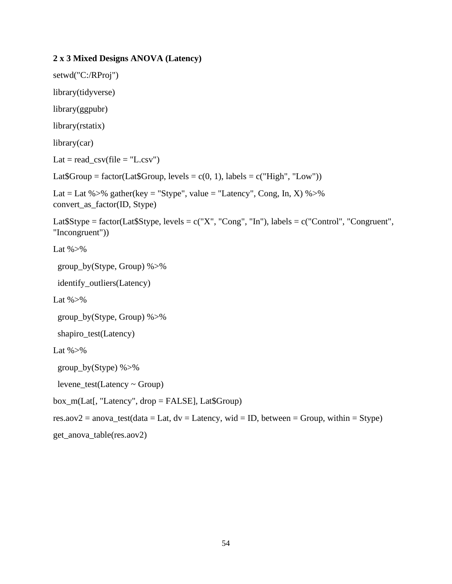# **2 x 3 Mixed Designs ANOVA (Latency)**

```
setwd("C:/RProj")
library(tidyverse)
library(ggpubr)
library(rstatix)
library(car)
Lat = read\_csv(file = "L.csv")Lat$Group = factor(Lat$Group, levels = c(0, 1), labels = c("High", "Low"))
Lat = Lat %>% gather(key = "Stype", value = "Latency", Cong, In, X) %>%
convert_as_factor(ID, Stype)
Lat$Stype = factor(Lat$Stype, levels = c("X", "Cong", "In"), labels = c("Control", "Congruent", 
"Incongruent"))
Lat \% >%
  group_by(Stype, Group) %>%
  identify_outliers(Latency)
Lat % >\!\% group_by(Stype, Group) %>%
  shapiro_test(Latency)
Lat \% >%
  group_by(Stype) %>%
  levene_test(Latency ~ Group)
box_m(Lat[, "Latency", drop = FALSE], Lat$Group)
res.aov2 = anova_test(data = Lat, dv = Latency, wid = ID, between = Group, within = Stype)
get_anova_table(res.aov2)
```